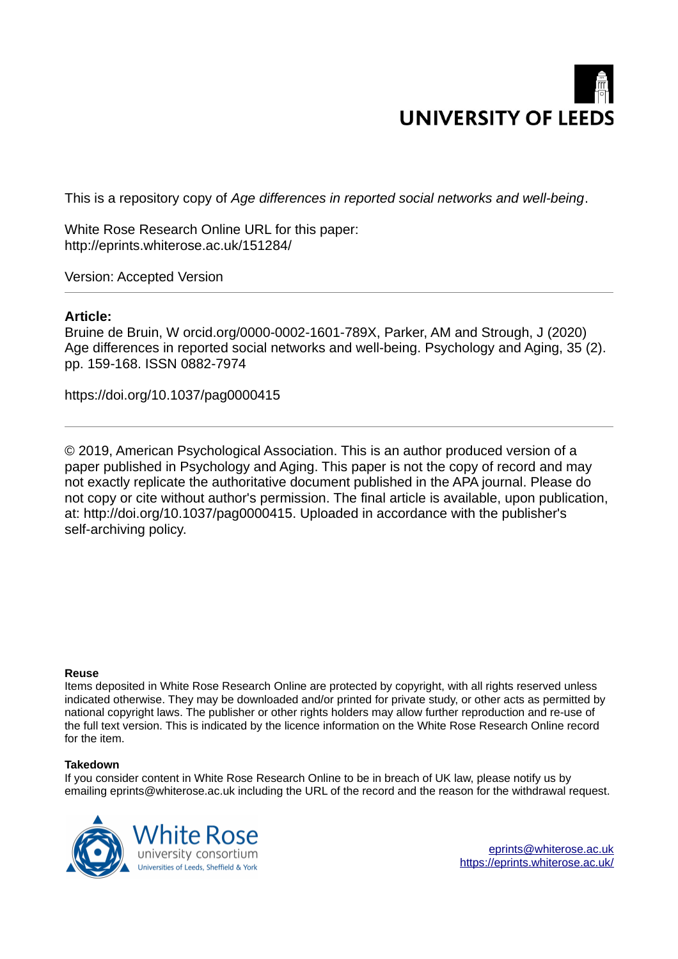

This is a repository copy of *Age differences in reported social networks and well-being*.

White Rose Research Online URL for this paper: http://eprints.whiterose.ac.uk/151284/

Version: Accepted Version

# **Article:**

Bruine de Bruin, W orcid.org/0000-0002-1601-789X, Parker, AM and Strough, J (2020) Age differences in reported social networks and well-being. Psychology and Aging, 35 (2). pp. 159-168. ISSN 0882-7974

https://doi.org/10.1037/pag0000415

© 2019, American Psychological Association. This is an author produced version of a paper published in Psychology and Aging. This paper is not the copy of record and may not exactly replicate the authoritative document published in the APA journal. Please do not copy or cite without author's permission. The final article is available, upon publication, at: http://doi.org/10.1037/pag0000415. Uploaded in accordance with the publisher's self-archiving policy.

## **Reuse**

Items deposited in White Rose Research Online are protected by copyright, with all rights reserved unless indicated otherwise. They may be downloaded and/or printed for private study, or other acts as permitted by national copyright laws. The publisher or other rights holders may allow further reproduction and re-use of the full text version. This is indicated by the licence information on the White Rose Research Online record for the item.

## **Takedown**

If you consider content in White Rose Research Online to be in breach of UK law, please notify us by emailing eprints@whiterose.ac.uk including the URL of the record and the reason for the withdrawal request.



[eprints@whiterose.ac.uk](mailto:eprints@whiterose.ac.uk) <https://eprints.whiterose.ac.uk/>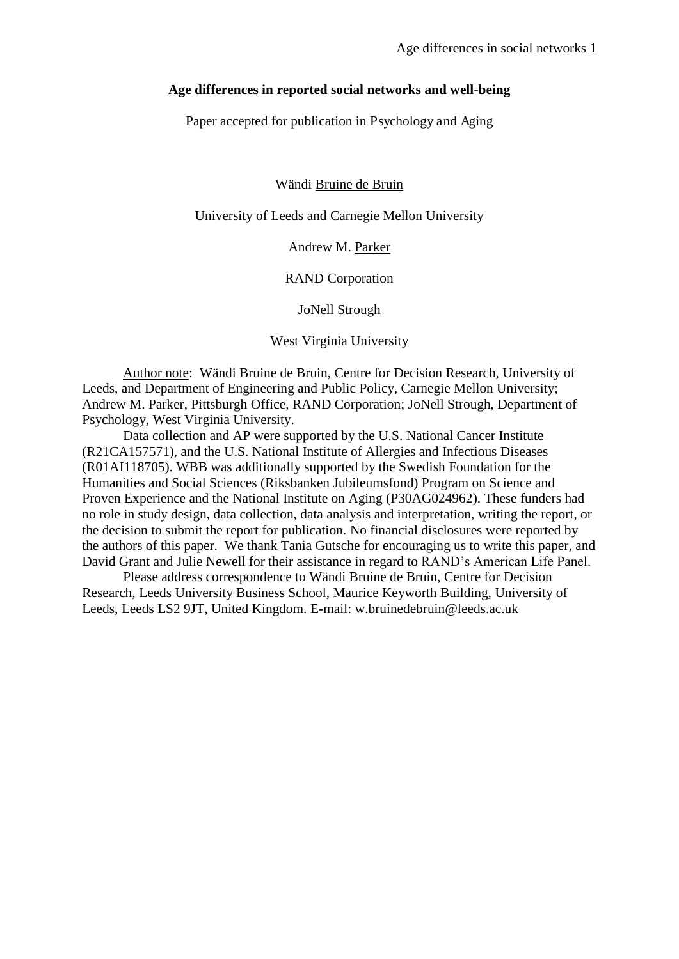#### **Age differences in reported social networks and well-being**

Paper accepted for publication in Psychology and Aging

Wändi Bruine de Bruin

University of Leeds and Carnegie Mellon University

Andrew M. Parker

RAND Corporation

JoNell Strough

West Virginia University

Author note: Wändi Bruine de Bruin, Centre for Decision Research, University of Leeds, and Department of Engineering and Public Policy, Carnegie Mellon University; Andrew M. Parker, Pittsburgh Office, RAND Corporation; JoNell Strough, Department of Psychology, West Virginia University.

Data collection and AP were supported by the U.S. National Cancer Institute (R21CA157571), and the U.S. National Institute of Allergies and Infectious Diseases (R01AI118705). WBB was additionally supported by the Swedish Foundation for the Humanities and Social Sciences (Riksbanken Jubileumsfond) Program on Science and Proven Experience and the National Institute on Aging (P30AG024962). These funders had no role in study design, data collection, data analysis and interpretation, writing the report, or the decision to submit the report for publication. No financial disclosures were reported by the authors of this paper. We thank Tania Gutsche for encouraging us to write this paper, and David Grant and Julie Newell for their assistance in regard to RAND's American Life Panel.

Please address correspondence to Wändi Bruine de Bruin, Centre for Decision Research, Leeds University Business School, Maurice Keyworth Building, University of Leeds, Leeds LS2 9JT, United Kingdom. E-mail: w.bruinedebruin@leeds.ac.uk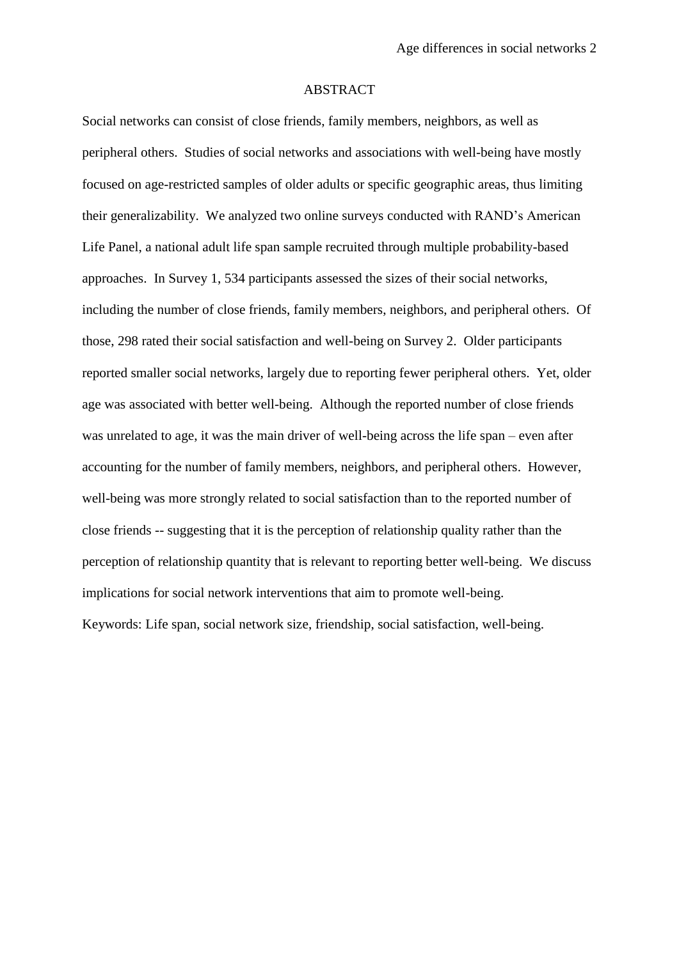#### ABSTRACT

Social networks can consist of close friends, family members, neighbors, as well as peripheral others. Studies of social networks and associations with well-being have mostly focused on age-restricted samples of older adults or specific geographic areas, thus limiting their generalizability. We analyzed two online surveys conducted with RAND's American Life Panel, a national adult life span sample recruited through multiple probability-based approaches. In Survey 1, 534 participants assessed the sizes of their social networks, including the number of close friends, family members, neighbors, and peripheral others. Of those, 298 rated their social satisfaction and well-being on Survey 2. Older participants reported smaller social networks, largely due to reporting fewer peripheral others. Yet, older age was associated with better well-being. Although the reported number of close friends was unrelated to age, it was the main driver of well-being across the life span – even after accounting for the number of family members, neighbors, and peripheral others. However, well-being was more strongly related to social satisfaction than to the reported number of close friends -- suggesting that it is the perception of relationship quality rather than the perception of relationship quantity that is relevant to reporting better well-being. We discuss implications for social network interventions that aim to promote well-being. Keywords: Life span, social network size, friendship, social satisfaction, well-being.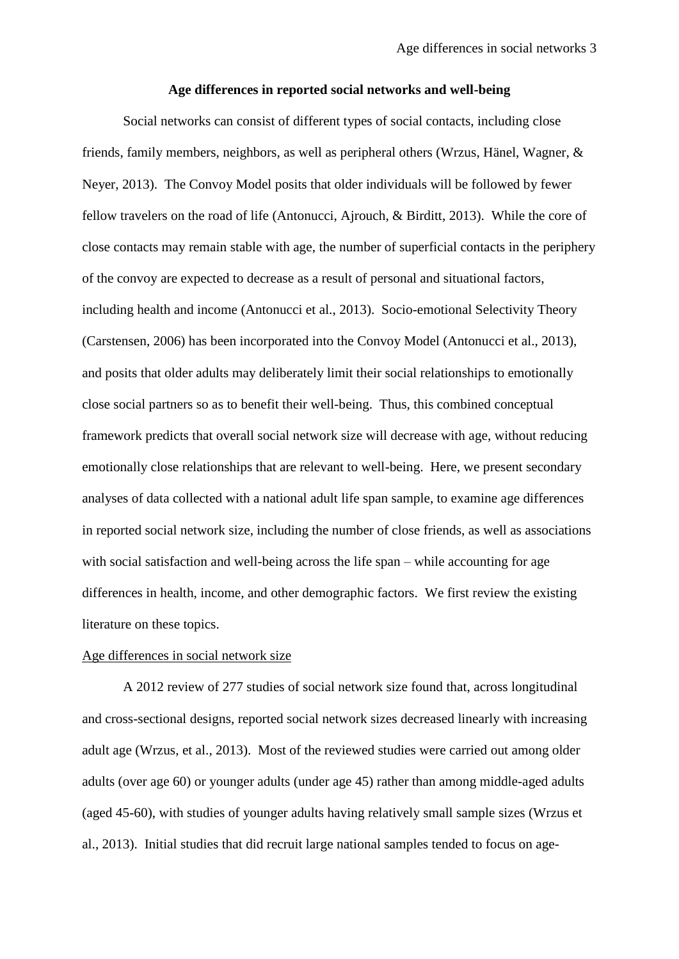#### **Age differences in reported social networks and well-being**

Social networks can consist of different types of social contacts, including close friends, family members, neighbors, as well as peripheral others (Wrzus, Hänel, Wagner, & Neyer, 2013). The Convoy Model posits that older individuals will be followed by fewer fellow travelers on the road of life (Antonucci, Ajrouch, & Birditt, 2013). While the core of close contacts may remain stable with age, the number of superficial contacts in the periphery of the convoy are expected to decrease as a result of personal and situational factors, including health and income (Antonucci et al., 2013). Socio-emotional Selectivity Theory (Carstensen, 2006) has been incorporated into the Convoy Model (Antonucci et al., 2013), and posits that older adults may deliberately limit their social relationships to emotionally close social partners so as to benefit their well-being. Thus, this combined conceptual framework predicts that overall social network size will decrease with age, without reducing emotionally close relationships that are relevant to well-being. Here, we present secondary analyses of data collected with a national adult life span sample, to examine age differences in reported social network size, including the number of close friends, as well as associations with social satisfaction and well-being across the life span – while accounting for age differences in health, income, and other demographic factors. We first review the existing literature on these topics.

## Age differences in social network size

A 2012 review of 277 studies of social network size found that, across longitudinal and cross-sectional designs, reported social network sizes decreased linearly with increasing adult age (Wrzus, et al., 2013). Most of the reviewed studies were carried out among older adults (over age 60) or younger adults (under age 45) rather than among middle-aged adults (aged 45-60), with studies of younger adults having relatively small sample sizes (Wrzus et al., 2013). Initial studies that did recruit large national samples tended to focus on age-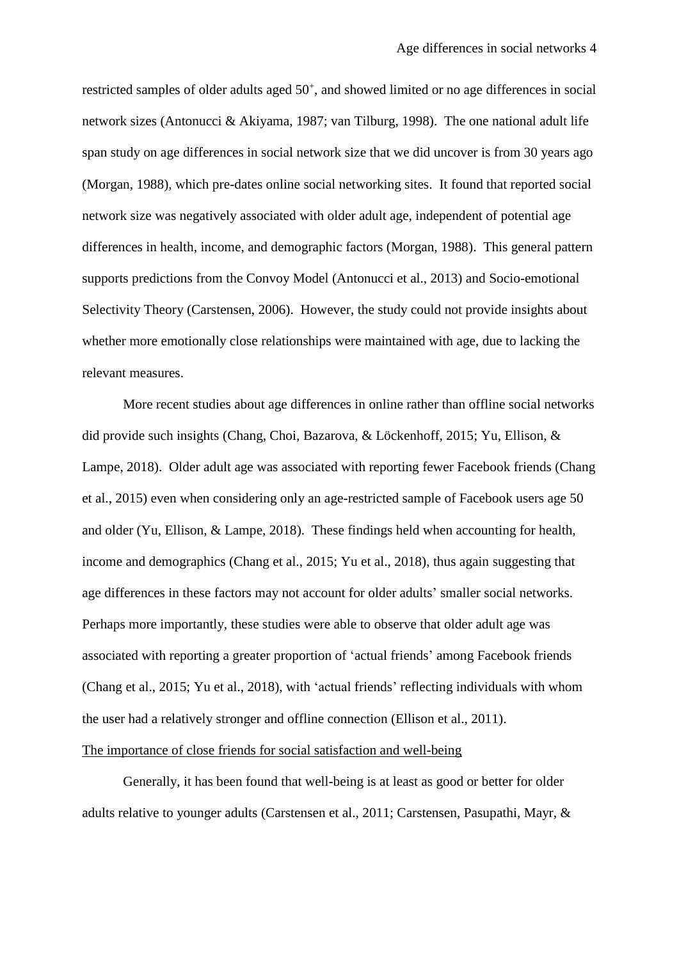restricted samples of older adults aged 50<sup>+</sup>, and showed limited or no age differences in social network sizes (Antonucci & Akiyama, 1987; van Tilburg, 1998). The one national adult life span study on age differences in social network size that we did uncover is from 30 years ago (Morgan, 1988), which pre-dates online social networking sites. It found that reported social network size was negatively associated with older adult age, independent of potential age differences in health, income, and demographic factors (Morgan, 1988). This general pattern supports predictions from the Convoy Model (Antonucci et al., 2013) and Socio-emotional Selectivity Theory (Carstensen, 2006). However, the study could not provide insights about whether more emotionally close relationships were maintained with age, due to lacking the relevant measures.

More recent studies about age differences in online rather than offline social networks did provide such insights (Chang, Choi, Bazarova, & Löckenhoff, 2015; Yu, Ellison, & Lampe, 2018). Older adult age was associated with reporting fewer Facebook friends (Chang et al., 2015) even when considering only an age-restricted sample of Facebook users age 50 and older (Yu, Ellison, & Lampe, 2018). These findings held when accounting for health, income and demographics (Chang et al., 2015; Yu et al., 2018), thus again suggesting that age differences in these factors may not account for older adults' smaller social networks. Perhaps more importantly, these studies were able to observe that older adult age was associated with reporting a greater proportion of 'actual friends' among Facebook friends (Chang et al., 2015; Yu et al., 2018), with 'actual friends' reflecting individuals with whom the user had a relatively stronger and offline connection (Ellison et al., 2011).

# The importance of close friends for social satisfaction and well-being

Generally, it has been found that well-being is at least as good or better for older adults relative to younger adults (Carstensen et al., 2011; Carstensen, Pasupathi, Mayr, &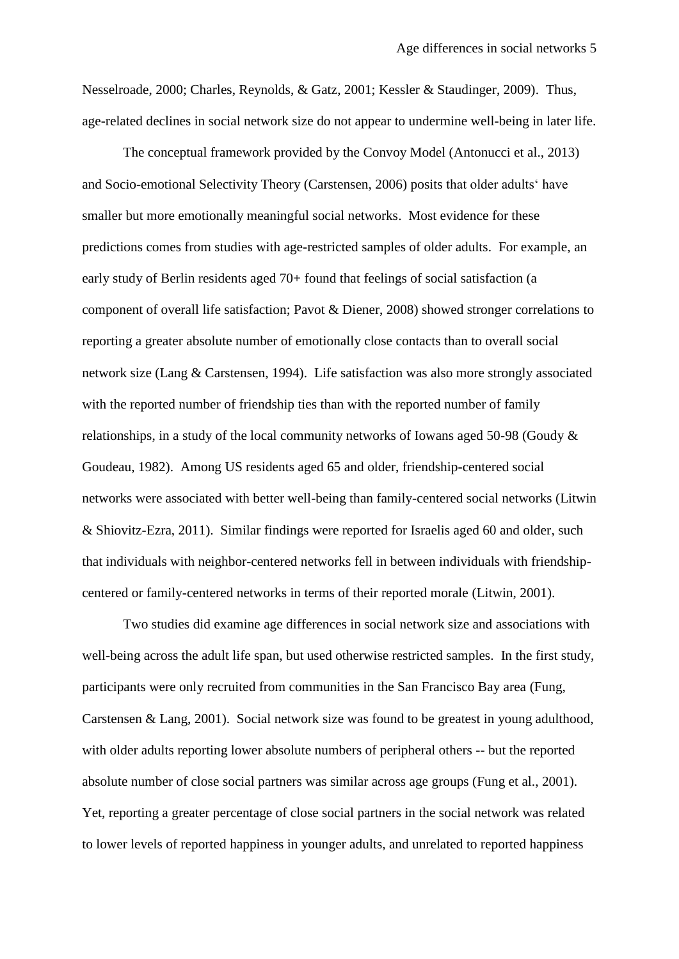Nesselroade, 2000; Charles, Reynolds, & Gatz, 2001; Kessler & Staudinger, 2009). Thus, age-related declines in social network size do not appear to undermine well-being in later life.

The conceptual framework provided by the Convoy Model (Antonucci et al., 2013) and Socio-emotional Selectivity Theory (Carstensen, 2006) posits that older adults' have smaller but more emotionally meaningful social networks. Most evidence for these predictions comes from studies with age-restricted samples of older adults. For example, an early study of Berlin residents aged 70+ found that feelings of social satisfaction (a component of overall life satisfaction; Pavot & Diener, 2008) showed stronger correlations to reporting a greater absolute number of emotionally close contacts than to overall social network size (Lang & Carstensen, 1994). Life satisfaction was also more strongly associated with the reported number of friendship ties than with the reported number of family relationships, in a study of the local community networks of Iowans aged 50-98 (Goudy & Goudeau, 1982). Among US residents aged 65 and older, friendship-centered social networks were associated with better well-being than family-centered social networks (Litwin & Shiovitz-Ezra, 2011). Similar findings were reported for Israelis aged 60 and older, such that individuals with neighbor-centered networks fell in between individuals with friendshipcentered or family-centered networks in terms of their reported morale (Litwin, 2001).

Two studies did examine age differences in social network size and associations with well-being across the adult life span, but used otherwise restricted samples. In the first study, participants were only recruited from communities in the San Francisco Bay area (Fung, Carstensen & Lang, 2001). Social network size was found to be greatest in young adulthood, with older adults reporting lower absolute numbers of peripheral others -- but the reported absolute number of close social partners was similar across age groups (Fung et al., 2001). Yet, reporting a greater percentage of close social partners in the social network was related to lower levels of reported happiness in younger adults, and unrelated to reported happiness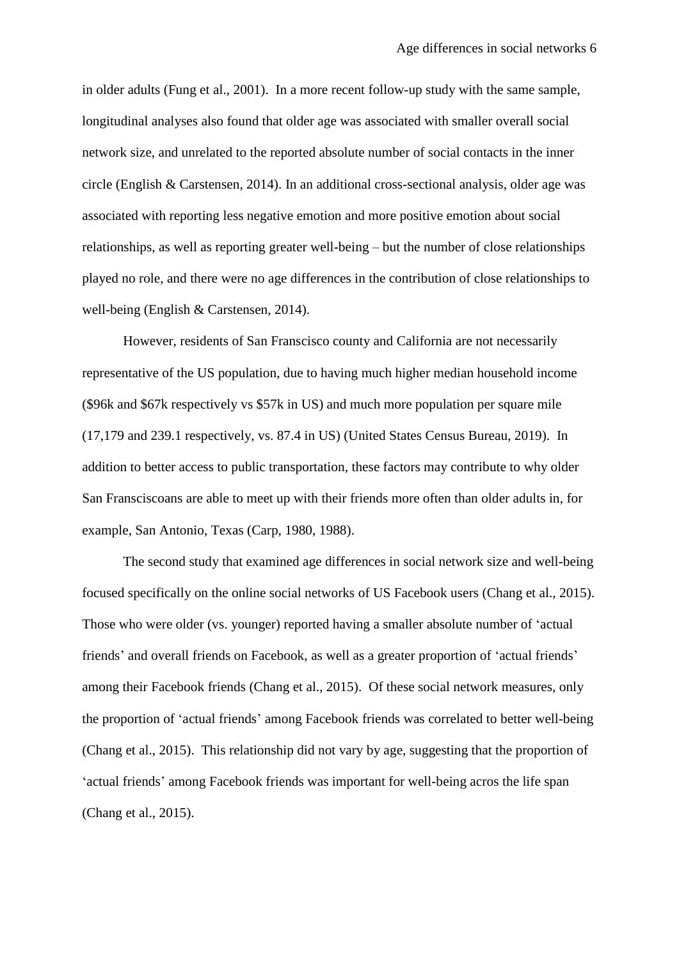in older adults (Fung et al., 2001). In a more recent follow-up study with the same sample, longitudinal analyses also found that older age was associated with smaller overall social network size, and unrelated to the reported absolute number of social contacts in the inner circle (English & Carstensen, 2014). In an additional cross-sectional analysis, older age was associated with reporting less negative emotion and more positive emotion about social relationships, as well as reporting greater well-being – but the number of close relationships played no role, and there were no age differences in the contribution of close relationships to well-being (English & Carstensen, 2014).

However, residents of San Franscisco county and California are not necessarily representative of the US population, due to having much higher median household income (\$96k and \$67k respectively vs \$57k in US) and much more population per square mile (17,179 and 239.1 respectively, vs. 87.4 in US) (United States Census Bureau, 2019). In addition to better access to public transportation, these factors may contribute to why older San Fransciscoans are able to meet up with their friends more often than older adults in, for example, San Antonio, Texas (Carp, 1980, 1988).

The second study that examined age differences in social network size and well-being focused specifically on the online social networks of US Facebook users (Chang et al., 2015). Those who were older (vs. younger) reported having a smaller absolute number of 'actual friends' and overall friends on Facebook, as well as a greater proportion of 'actual friends' among their Facebook friends (Chang et al., 2015). Of these social network measures, only the proportion of 'actual friends' among Facebook friends was correlated to better well-being (Chang et al., 2015). This relationship did not vary by age, suggesting that the proportion of 'actual friends' among Facebook friends was important for well-being acros the life span (Chang et al., 2015).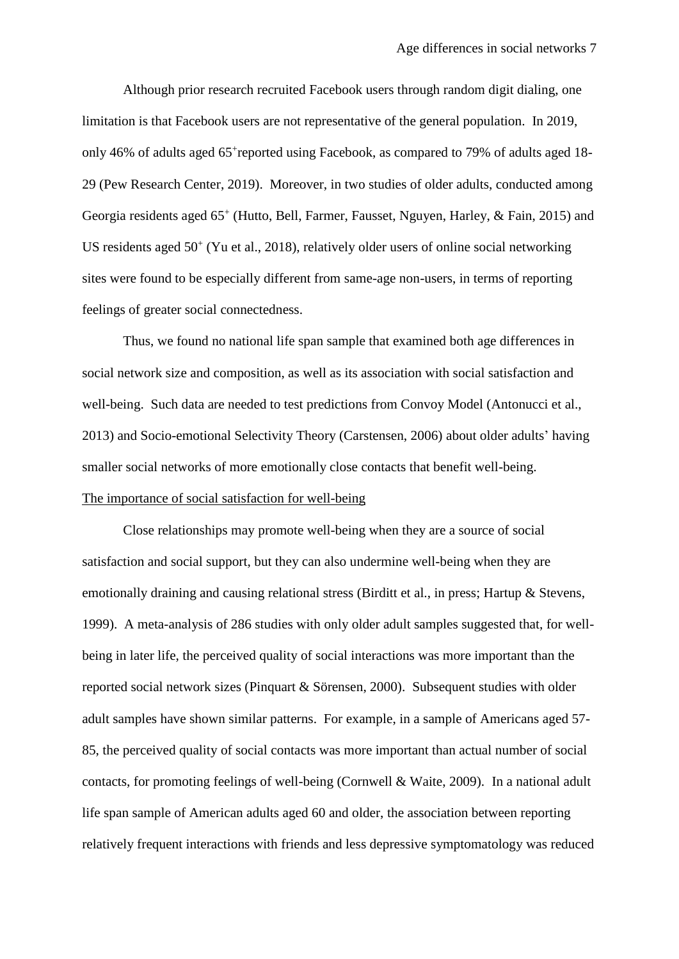Although prior research recruited Facebook users through random digit dialing, one limitation is that Facebook users are not representative of the general population. In 2019, only 46% of adults aged 65<sup>+</sup>reported using Facebook, as compared to 79% of adults aged 18-29 (Pew Research Center, 2019). Moreover, in two studies of older adults, conducted among Georgia residents aged 65<sup>+</sup> (Hutto, Bell, Farmer, Fausset, Nguyen, Harley, & Fain, 2015) and US residents aged 50<sup>+</sup> (Yu et al., 2018), relatively older users of online social networking sites were found to be especially different from same-age non-users, in terms of reporting feelings of greater social connectedness.

Thus, we found no national life span sample that examined both age differences in social network size and composition, as well as its association with social satisfaction and well-being.Such data are needed to test predictions from Convoy Model (Antonucci et al., 2013) and Socio-emotional Selectivity Theory (Carstensen, 2006) about older adults' having smaller social networks of more emotionally close contacts that benefit well-being. The importance of social satisfaction for well-being

Close relationships may promote well-being when they are a source of social satisfaction and social support, but they can also undermine well-being when they are emotionally draining and causing relational stress (Birditt et al., in press; Hartup & Stevens, 1999). A meta-analysis of 286 studies with only older adult samples suggested that, for wellbeing in later life, the perceived quality of social interactions was more important than the reported social network sizes (Pinquart & Sörensen, 2000). Subsequent studies with older adult samples have shown similar patterns. For example, in a sample of Americans aged 57- 85, the perceived quality of social contacts was more important than actual number of social contacts, for promoting feelings of well-being (Cornwell & Waite, 2009). In a national adult life span sample of American adults aged 60 and older, the association between reporting relatively frequent interactions with friends and less depressive symptomatology was reduced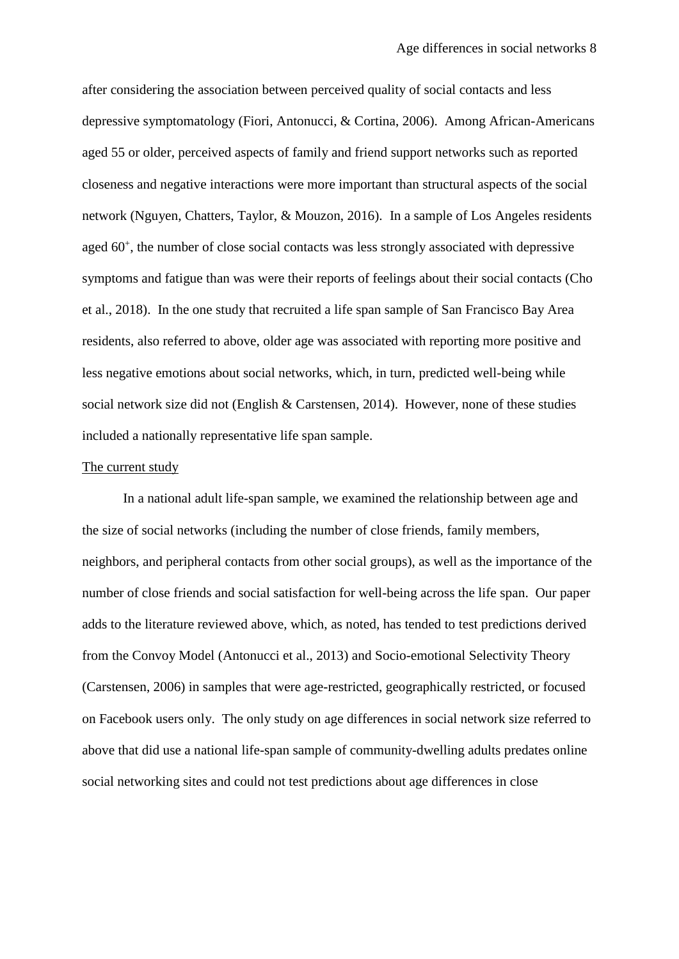after considering the association between perceived quality of social contacts and less depressive symptomatology (Fiori, Antonucci, & Cortina, 2006). Among African-Americans aged 55 or older, perceived aspects of family and friend support networks such as reported closeness and negative interactions were more important than structural aspects of the social network (Nguyen, Chatters, Taylor, & Mouzon, 2016). In a sample of Los Angeles residents aged 60<sup>+</sup>, the number of close social contacts was less strongly associated with depressive symptoms and fatigue than was were their reports of feelings about their social contacts (Cho et al., 2018). In the one study that recruited a life span sample of San Francisco Bay Area residents, also referred to above, older age was associated with reporting more positive and less negative emotions about social networks, which, in turn, predicted well-being while social network size did not (English & Carstensen, 2014). However, none of these studies included a nationally representative life span sample.

# The current study

In a national adult life-span sample, we examined the relationship between age and the size of social networks (including the number of close friends, family members, neighbors, and peripheral contacts from other social groups), as well as the importance of the number of close friends and social satisfaction for well-being across the life span. Our paper adds to the literature reviewed above, which, as noted, has tended to test predictions derived from the Convoy Model (Antonucci et al., 2013) and Socio-emotional Selectivity Theory (Carstensen, 2006) in samples that were age-restricted, geographically restricted, or focused on Facebook users only. The only study on age differences in social network size referred to above that did use a national life-span sample of community-dwelling adults predates online social networking sites and could not test predictions about age differences in close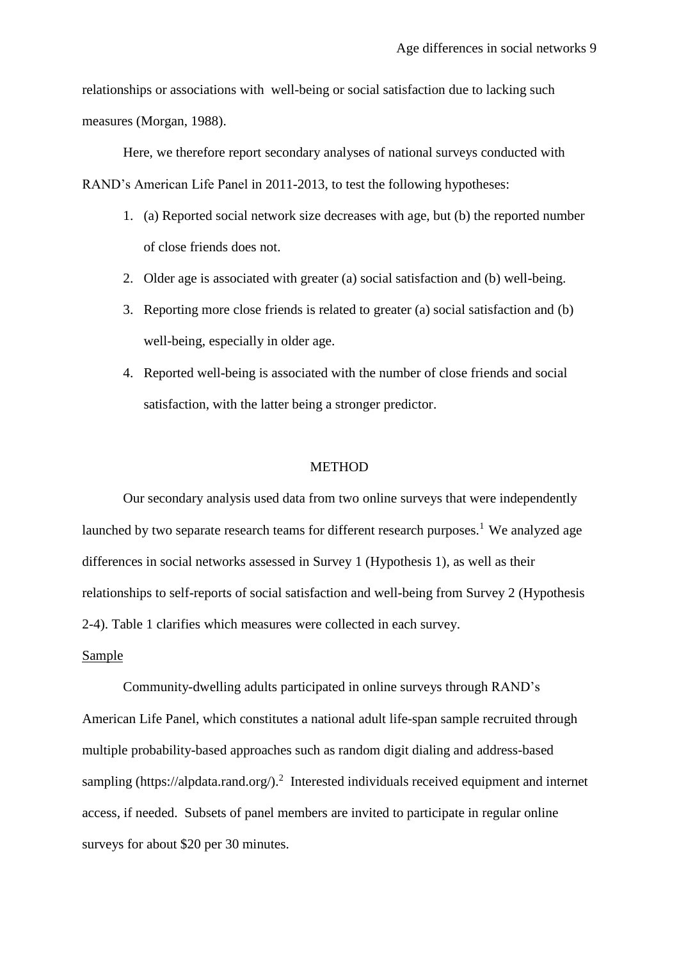relationships or associations with well-being or social satisfaction due to lacking such measures (Morgan, 1988).

Here, we therefore report secondary analyses of national surveys conducted with RAND's American Life Panel in 2011-2013, to test the following hypotheses:

- 1. (a) Reported social network size decreases with age, but (b) the reported number of close friends does not.
- 2. Older age is associated with greater (a) social satisfaction and (b) well-being.
- 3. Reporting more close friends is related to greater (a) social satisfaction and (b) well-being, especially in older age.
- 4. Reported well-being is associated with the number of close friends and social satisfaction, with the latter being a stronger predictor.

#### **METHOD**

Our secondary analysis used data from two online surveys that were independently launched by two separate research teams for different research purposes.<sup>1</sup> We analyzed age differences in social networks assessed in Survey 1 (Hypothesis 1), as well as their relationships to self-reports of social satisfaction and well-being from Survey 2 (Hypothesis 2-4). Table 1 clarifies which measures were collected in each survey.

## Sample

Community-dwelling adults participated in online surveys through RAND's American Life Panel, which constitutes a national adult life-span sample recruited through multiple probability-based approaches such as random digit dialing and address-based sampling (https://alpdata.rand.org/).<sup>2</sup> Interested individuals received equipment and internet access, if needed. Subsets of panel members are invited to participate in regular online surveys for about \$20 per 30 minutes.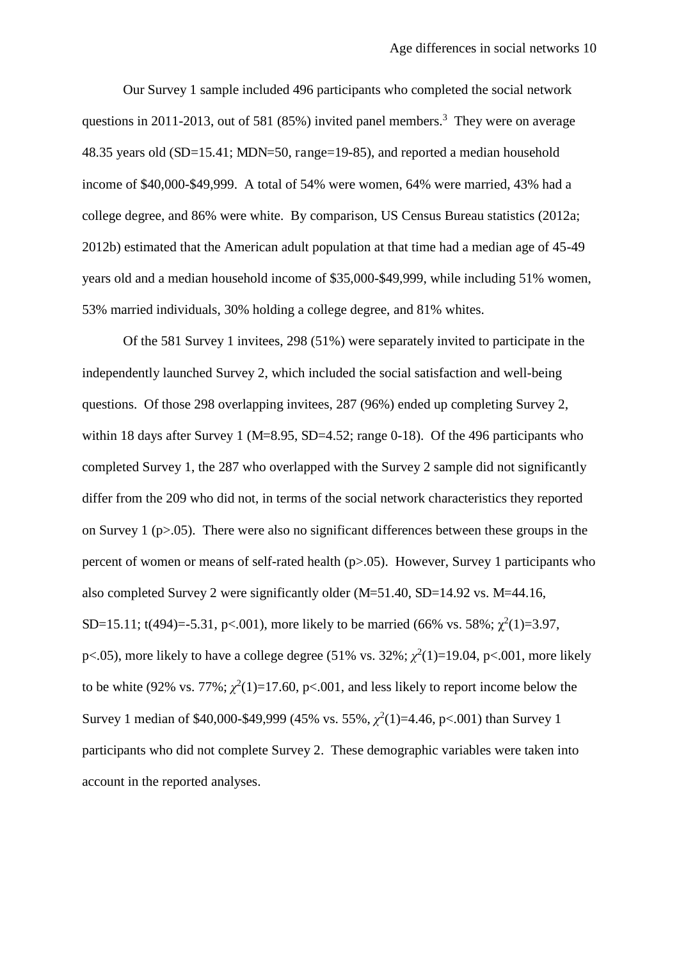Our Survey 1 sample included 496 participants who completed the social network questions in 2011-2013, out of 581  $(85%)$  invited panel members.<sup>3</sup> They were on average 48.35 years old (SD=15.41; MDN=50, range=19-85), and reported a median household income of \$40,000-\$49,999. A total of 54% were women, 64% were married, 43% had a college degree, and 86% were white. By comparison, US Census Bureau statistics (2012a; 2012b) estimated that the American adult population at that time had a median age of 45-49 years old and a median household income of \$35,000-\$49,999, while including 51% women, 53% married individuals, 30% holding a college degree, and 81% whites.

Of the 581 Survey 1 invitees, 298 (51%) were separately invited to participate in the independently launched Survey 2, which included the social satisfaction and well-being questions. Of those 298 overlapping invitees, 287 (96%) ended up completing Survey 2, within 18 days after Survey 1 ( $M=8.95$ , SD $=4.52$ ; range 0-18). Of the 496 participants who completed Survey 1, the 287 who overlapped with the Survey 2 sample did not significantly differ from the 209 who did not, in terms of the social network characteristics they reported on Survey 1 ( $p>0.05$ ). There were also no significant differences between these groups in the percent of women or means of self-rated health  $(p>0.05)$ . However, Survey 1 participants who also completed Survey 2 were significantly older (M=51.40, SD=14.92 vs. M=44.16, SD=15.11; t(494)=-5.31, p<.001), more likely to be married (66% vs. 58%;  $\chi^2(1)=3.97$ , p<.05), more likely to have a college degree  $(51\% \text{ vs. } 32\%; \chi^2(1)=19.04, \text{ p} < .001, \text{ more likely}$ to be white (92% vs.  $77\%$ ;  $\chi^2(1)=17.60$ , p<.001, and less likely to report income below the Survey 1 median of \$40,000-\$49,999 (45% vs. 55%,  $\chi^2(1)=4.46$ , p<.001) than Survey 1 participants who did not complete Survey 2. These demographic variables were taken into account in the reported analyses.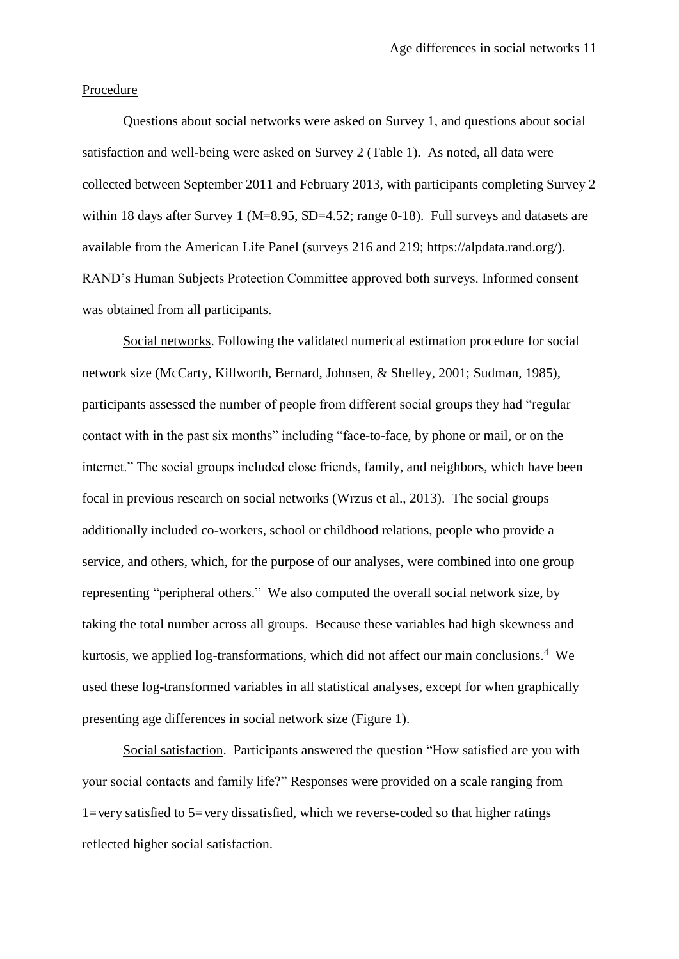# Procedure

Questions about social networks were asked on Survey 1, and questions about social satisfaction and well-being were asked on Survey 2 (Table 1). As noted, all data were collected between September 2011 and February 2013, with participants completing Survey 2 within 18 days after Survey 1 (M=8.95, SD=4.52; range 0-18). Full surveys and datasets are available from the American Life Panel (surveys 216 and 219; https://alpdata.rand.org/). RAND's Human Subjects Protection Committee approved both surveys. Informed consent was obtained from all participants.

Social networks. Following the validated numerical estimation procedure for social network size (McCarty, Killworth, Bernard, Johnsen, & Shelley, 2001; Sudman, 1985), participants assessed the number of people from different social groups they had "regular contact with in the past six months" including "face-to-face, by phone or mail, or on the internet." The social groups included close friends, family, and neighbors, which have been focal in previous research on social networks (Wrzus et al., 2013). The social groups additionally included co-workers, school or childhood relations, people who provide a service, and others, which, for the purpose of our analyses, were combined into one group representing "peripheral others." We also computed the overall social network size, by taking the total number across all groups. Because these variables had high skewness and kurtosis, we applied log-transformations, which did not affect our main conclusions.<sup>4</sup> We used these log-transformed variables in all statistical analyses, except for when graphically presenting age differences in social network size (Figure 1).

Social satisfaction. Participants answered the question "How satisfied are you with your social contacts and family life?" Responses were provided on a scale ranging from 1=very satisfied to 5=very dissatisfied, which we reverse-coded so that higher ratings reflected higher social satisfaction.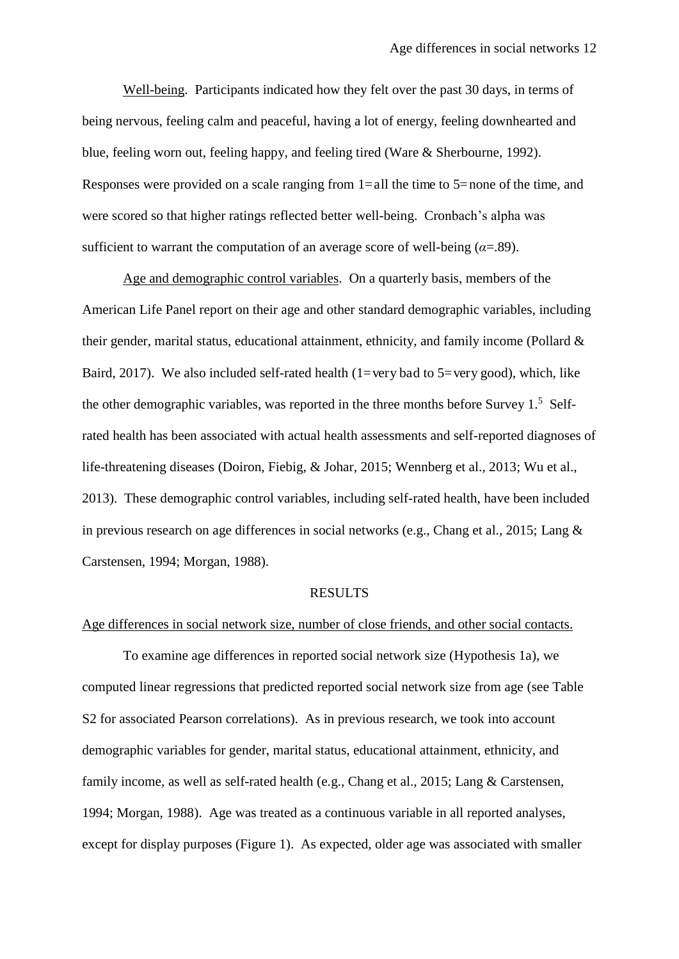Well-being. Participants indicated how they felt over the past 30 days, in terms of being nervous, feeling calm and peaceful, having a lot of energy, feeling downhearted and blue, feeling worn out, feeling happy, and feeling tired (Ware & Sherbourne, 1992). Responses were provided on a scale ranging from  $1=$ all the time to  $5=$ none of the time, and were scored so that higher ratings reflected better well-being. Cronbach's alpha was sufficient to warrant the computation of an average score of well-being  $(a=0.89)$ .

Age and demographic control variables. On a quarterly basis, members of the American Life Panel report on their age and other standard demographic variables, including their gender, marital status, educational attainment, ethnicity, and family income (Pollard & Baird, 2017). We also included self-rated health (1=very bad to 5=very good), which, like the other demographic variables, was reported in the three months before Survey 1.<sup>5</sup> Selfrated health has been associated with actual health assessments and self-reported diagnoses of life-threatening diseases (Doiron, Fiebig, & Johar, 2015; Wennberg et al., 2013; Wu et al., 2013). These demographic control variables, including self-rated health, have been included in previous research on age differences in social networks (e.g., Chang et al., 2015; Lang & Carstensen, 1994; Morgan, 1988).

# RESULTS

#### Age differences in social network size, number of close friends, and other social contacts.

To examine age differences in reported social network size (Hypothesis 1a), we computed linear regressions that predicted reported social network size from age (see Table S2 for associated Pearson correlations). As in previous research, we took into account demographic variables for gender, marital status, educational attainment, ethnicity, and family income, as well as self-rated health (e.g., Chang et al., 2015; Lang & Carstensen, 1994; Morgan, 1988). Age was treated as a continuous variable in all reported analyses, except for display purposes (Figure 1). As expected, older age was associated with smaller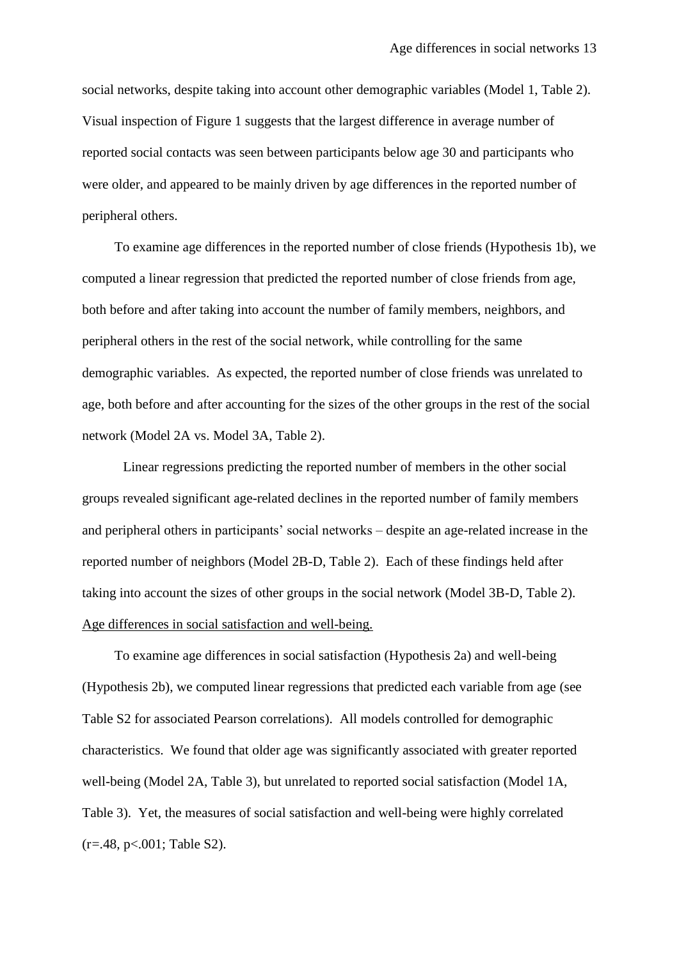social networks, despite taking into account other demographic variables (Model 1, Table 2). Visual inspection of Figure 1 suggests that the largest difference in average number of reported social contacts was seen between participants below age 30 and participants who were older, and appeared to be mainly driven by age differences in the reported number of peripheral others.

To examine age differences in the reported number of close friends (Hypothesis 1b), we computed a linear regression that predicted the reported number of close friends from age, both before and after taking into account the number of family members, neighbors, and peripheral others in the rest of the social network, while controlling for the same demographic variables. As expected, the reported number of close friends was unrelated to age, both before and after accounting for the sizes of the other groups in the rest of the social network (Model 2A vs. Model 3A, Table 2).

Linear regressions predicting the reported number of members in the other social groups revealed significant age-related declines in the reported number of family members and peripheral others in participants' social networks – despite an age-related increase in the reported number of neighbors (Model 2B-D, Table 2). Each of these findings held after taking into account the sizes of other groups in the social network (Model 3B-D, Table 2). Age differences in social satisfaction and well-being.

To examine age differences in social satisfaction (Hypothesis 2a) and well-being (Hypothesis 2b), we computed linear regressions that predicted each variable from age (see Table S2 for associated Pearson correlations). All models controlled for demographic characteristics. We found that older age was significantly associated with greater reported well-being (Model 2A, Table 3), but unrelated to reported social satisfaction (Model 1A, Table 3). Yet, the measures of social satisfaction and well-being were highly correlated  $(r=.48, p<.001;$  Table S2).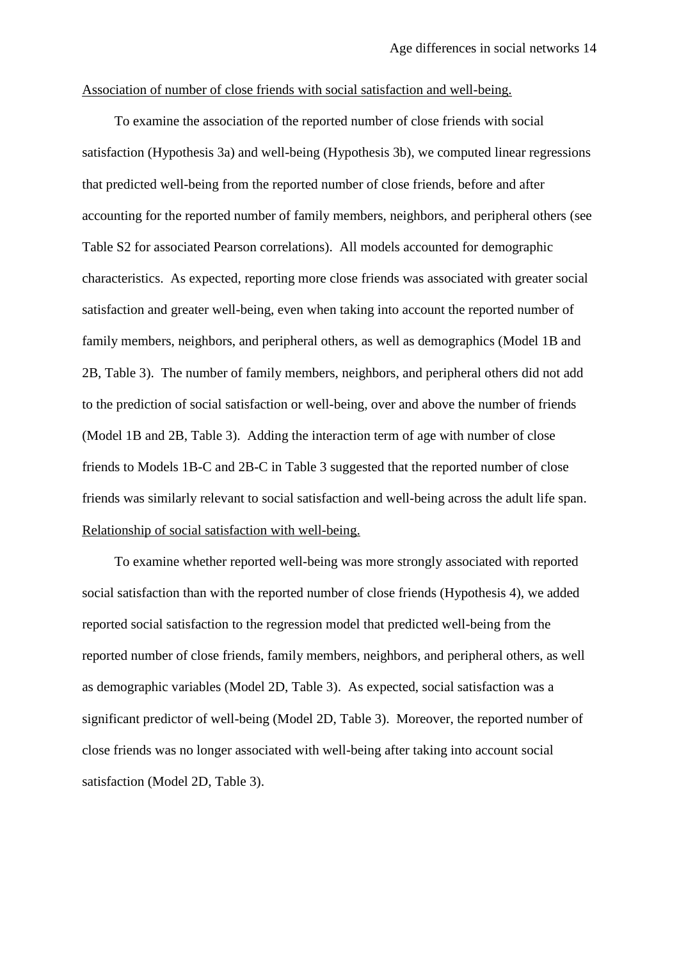## Association of number of close friends with social satisfaction and well-being.

To examine the association of the reported number of close friends with social satisfaction (Hypothesis 3a) and well-being (Hypothesis 3b), we computed linear regressions that predicted well-being from the reported number of close friends, before and after accounting for the reported number of family members, neighbors, and peripheral others (see Table S2 for associated Pearson correlations). All models accounted for demographic characteristics. As expected, reporting more close friends was associated with greater social satisfaction and greater well-being, even when taking into account the reported number of family members, neighbors, and peripheral others, as well as demographics (Model 1B and 2B, Table 3). The number of family members, neighbors, and peripheral others did not add to the prediction of social satisfaction or well-being, over and above the number of friends (Model 1B and 2B, Table 3). Adding the interaction term of age with number of close friends to Models 1B-C and 2B-C in Table 3 suggested that the reported number of close friends was similarly relevant to social satisfaction and well-being across the adult life span. Relationship of social satisfaction with well-being.

To examine whether reported well-being was more strongly associated with reported social satisfaction than with the reported number of close friends (Hypothesis 4), we added reported social satisfaction to the regression model that predicted well-being from the reported number of close friends, family members, neighbors, and peripheral others, as well as demographic variables (Model 2D, Table 3). As expected, social satisfaction was a significant predictor of well-being (Model 2D, Table 3). Moreover, the reported number of close friends was no longer associated with well-being after taking into account social satisfaction (Model 2D, Table 3).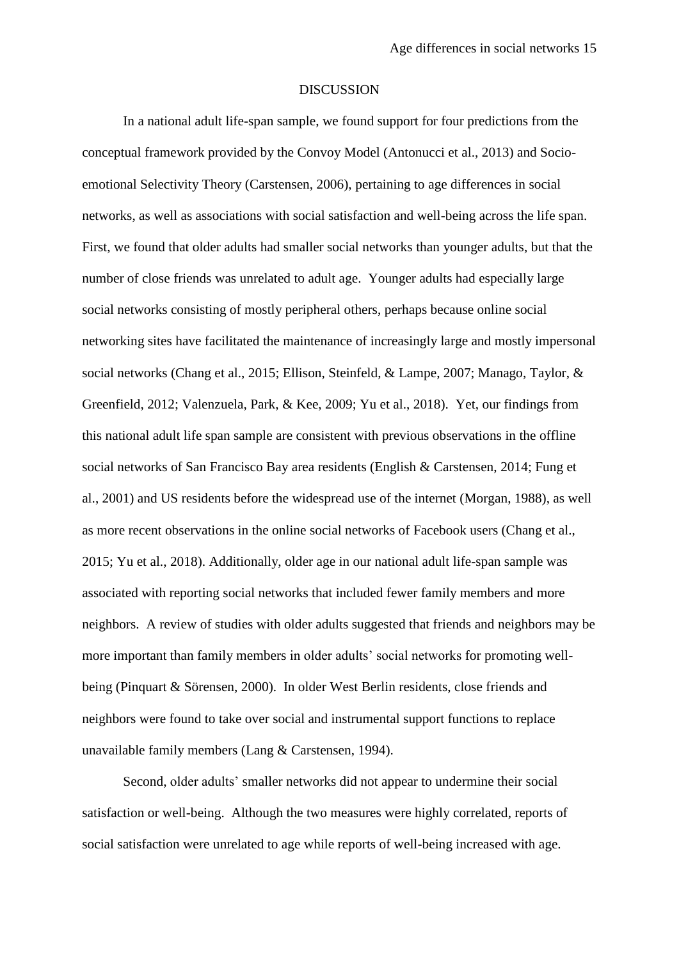#### DISCUSSION

In a national adult life-span sample, we found support for four predictions from the conceptual framework provided by the Convoy Model (Antonucci et al., 2013) and Socioemotional Selectivity Theory (Carstensen, 2006), pertaining to age differences in social networks, as well as associations with social satisfaction and well-being across the life span. First, we found that older adults had smaller social networks than younger adults, but that the number of close friends was unrelated to adult age. Younger adults had especially large social networks consisting of mostly peripheral others, perhaps because online social networking sites have facilitated the maintenance of increasingly large and mostly impersonal social networks (Chang et al., 2015; Ellison, Steinfeld, & Lampe, 2007; Manago, Taylor, & Greenfield, 2012; Valenzuela, Park, & Kee, 2009; Yu et al., 2018). Yet, our findings from this national adult life span sample are consistent with previous observations in the offline social networks of San Francisco Bay area residents (English & Carstensen, 2014; Fung et al., 2001) and US residents before the widespread use of the internet (Morgan, 1988), as well as more recent observations in the online social networks of Facebook users (Chang et al., 2015; Yu et al., 2018). Additionally, older age in our national adult life-span sample was associated with reporting social networks that included fewer family members and more neighbors. A review of studies with older adults suggested that friends and neighbors may be more important than family members in older adults' social networks for promoting wellbeing (Pinquart & Sörensen, 2000). In older West Berlin residents, close friends and neighbors were found to take over social and instrumental support functions to replace unavailable family members (Lang & Carstensen, 1994).

Second, older adults' smaller networks did not appear to undermine their social satisfaction or well-being. Although the two measures were highly correlated, reports of social satisfaction were unrelated to age while reports of well-being increased with age.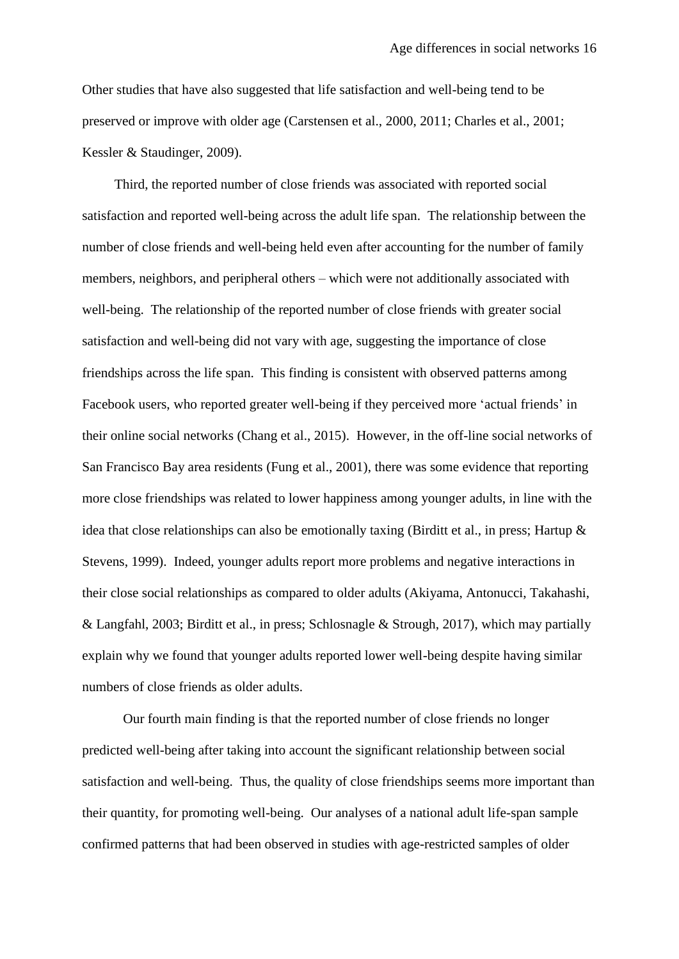Other studies that have also suggested that life satisfaction and well-being tend to be preserved or improve with older age (Carstensen et al., 2000, 2011; Charles et al., 2001; Kessler & Staudinger, 2009).

Third, the reported number of close friends was associated with reported social satisfaction and reported well-being across the adult life span. The relationship between the number of close friends and well-being held even after accounting for the number of family members, neighbors, and peripheral others – which were not additionally associated with well-being. The relationship of the reported number of close friends with greater social satisfaction and well-being did not vary with age, suggesting the importance of close friendships across the life span. This finding is consistent with observed patterns among Facebook users, who reported greater well-being if they perceived more 'actual friends' in their online social networks (Chang et al., 2015). However, in the off-line social networks of San Francisco Bay area residents (Fung et al., 2001), there was some evidence that reporting more close friendships was related to lower happiness among younger adults, in line with the idea that close relationships can also be emotionally taxing (Birditt et al., in press; Hartup & Stevens, 1999). Indeed, younger adults report more problems and negative interactions in their close social relationships as compared to older adults (Akiyama, Antonucci, Takahashi, & Langfahl, 2003; Birditt et al., in press; Schlosnagle & Strough, 2017), which may partially explain why we found that younger adults reported lower well-being despite having similar numbers of close friends as older adults.

Our fourth main finding is that the reported number of close friends no longer predicted well-being after taking into account the significant relationship between social satisfaction and well-being. Thus, the quality of close friendships seems more important than their quantity, for promoting well-being. Our analyses of a national adult life-span sample confirmed patterns that had been observed in studies with age-restricted samples of older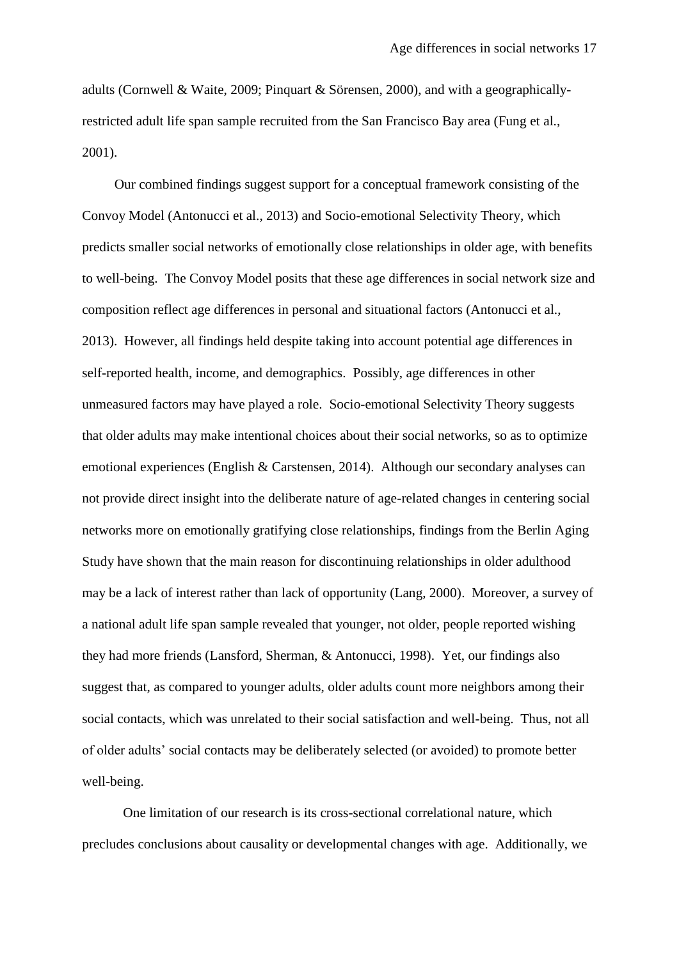adults (Cornwell & Waite, 2009; Pinquart & Sörensen, 2000), and with a geographicallyrestricted adult life span sample recruited from the San Francisco Bay area (Fung et al., 2001).

Our combined findings suggest support for a conceptual framework consisting of the Convoy Model (Antonucci et al., 2013) and Socio-emotional Selectivity Theory, which predicts smaller social networks of emotionally close relationships in older age, with benefits to well-being. The Convoy Model posits that these age differences in social network size and composition reflect age differences in personal and situational factors (Antonucci et al., 2013). However, all findings held despite taking into account potential age differences in self-reported health, income, and demographics. Possibly, age differences in other unmeasured factors may have played a role. Socio-emotional Selectivity Theory suggests that older adults may make intentional choices about their social networks, so as to optimize emotional experiences (English & Carstensen, 2014). Although our secondary analyses can not provide direct insight into the deliberate nature of age-related changes in centering social networks more on emotionally gratifying close relationships, findings from the Berlin Aging Study have shown that the main reason for discontinuing relationships in older adulthood may be a lack of interest rather than lack of opportunity (Lang, 2000). Moreover, a survey of a national adult life span sample revealed that younger, not older, people reported wishing they had more friends (Lansford, Sherman, & Antonucci, 1998). Yet, our findings also suggest that, as compared to younger adults, older adults count more neighbors among their social contacts, which was unrelated to their social satisfaction and well-being. Thus, not all of older adults' social contacts may be deliberately selected (or avoided) to promote better well-being.

 One limitation of our research is its cross-sectional correlational nature, which precludes conclusions about causality or developmental changes with age. Additionally, we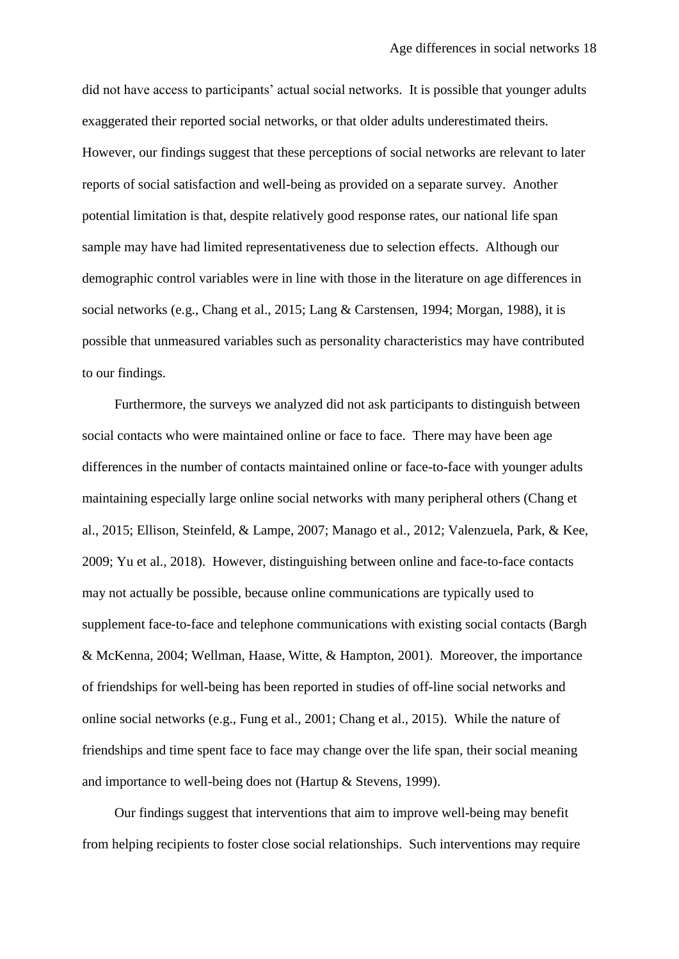did not have access to participants' actual social networks. It is possible that younger adults exaggerated their reported social networks, or that older adults underestimated theirs. However, our findings suggest that these perceptions of social networks are relevant to later reports of social satisfaction and well-being as provided on a separate survey. Another potential limitation is that, despite relatively good response rates, our national life span sample may have had limited representativeness due to selection effects. Although our demographic control variables were in line with those in the literature on age differences in social networks (e.g., Chang et al., 2015; Lang & Carstensen, 1994; Morgan, 1988), it is possible that unmeasured variables such as personality characteristics may have contributed to our findings.

Furthermore, the surveys we analyzed did not ask participants to distinguish between social contacts who were maintained online or face to face. There may have been age differences in the number of contacts maintained online or face-to-face with younger adults maintaining especially large online social networks with many peripheral others (Chang et al., 2015; Ellison, Steinfeld, & Lampe, 2007; Manago et al., 2012; Valenzuela, Park, & Kee, 2009; Yu et al., 2018). However, distinguishing between online and face-to-face contacts may not actually be possible, because online communications are typically used to supplement face-to-face and telephone communications with existing social contacts (Bargh & McKenna, 2004; Wellman, Haase, Witte, & Hampton, 2001). Moreover, the importance of friendships for well-being has been reported in studies of off-line social networks and online social networks (e.g., Fung et al., 2001; Chang et al., 2015). While the nature of friendships and time spent face to face may change over the life span, their social meaning and importance to well-being does not (Hartup & Stevens, 1999).

Our findings suggest that interventions that aim to improve well-being may benefit from helping recipients to foster close social relationships. Such interventions may require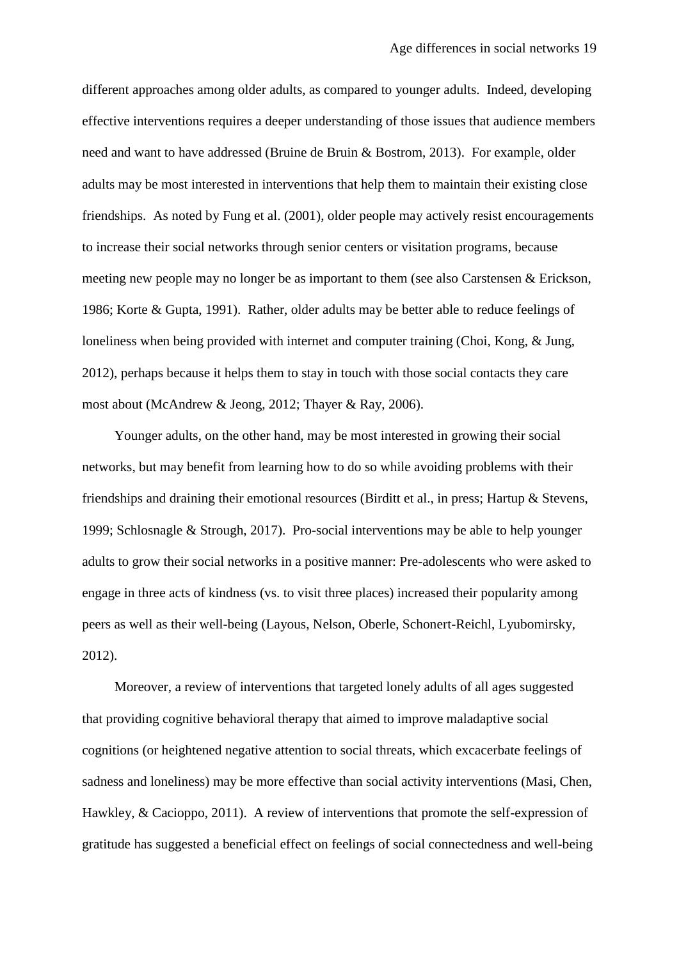different approaches among older adults, as compared to younger adults. Indeed, developing effective interventions requires a deeper understanding of those issues that audience members need and want to have addressed (Bruine de Bruin & Bostrom, 2013). For example, older adults may be most interested in interventions that help them to maintain their existing close friendships. As noted by Fung et al. (2001), older people may actively resist encouragements to increase their social networks through senior centers or visitation programs, because meeting new people may no longer be as important to them (see also Carstensen & Erickson, 1986; Korte & Gupta, 1991). Rather, older adults may be better able to reduce feelings of loneliness when being provided with internet and computer training (Choi, Kong, & Jung, 2012), perhaps because it helps them to stay in touch with those social contacts they care most about (McAndrew & Jeong, 2012; Thayer & Ray, 2006).

Younger adults, on the other hand, may be most interested in growing their social networks, but may benefit from learning how to do so while avoiding problems with their friendships and draining their emotional resources (Birditt et al., in press; Hartup & Stevens, 1999; Schlosnagle & Strough, 2017). Pro-social interventions may be able to help younger adults to grow their social networks in a positive manner: Pre-adolescents who were asked to engage in three acts of kindness (vs. to visit three places) increased their popularity among peers as well as their well-being (Layous, Nelson, Oberle, Schonert-Reichl, Lyubomirsky, 2012).

Moreover, a review of interventions that targeted lonely adults of all ages suggested that providing cognitive behavioral therapy that aimed to improve maladaptive social cognitions (or heightened negative attention to social threats, which excacerbate feelings of sadness and loneliness) may be more effective than social activity interventions (Masi, Chen, Hawkley, & Cacioppo, 2011). A review of interventions that promote the self-expression of gratitude has suggested a beneficial effect on feelings of social connectedness and well-being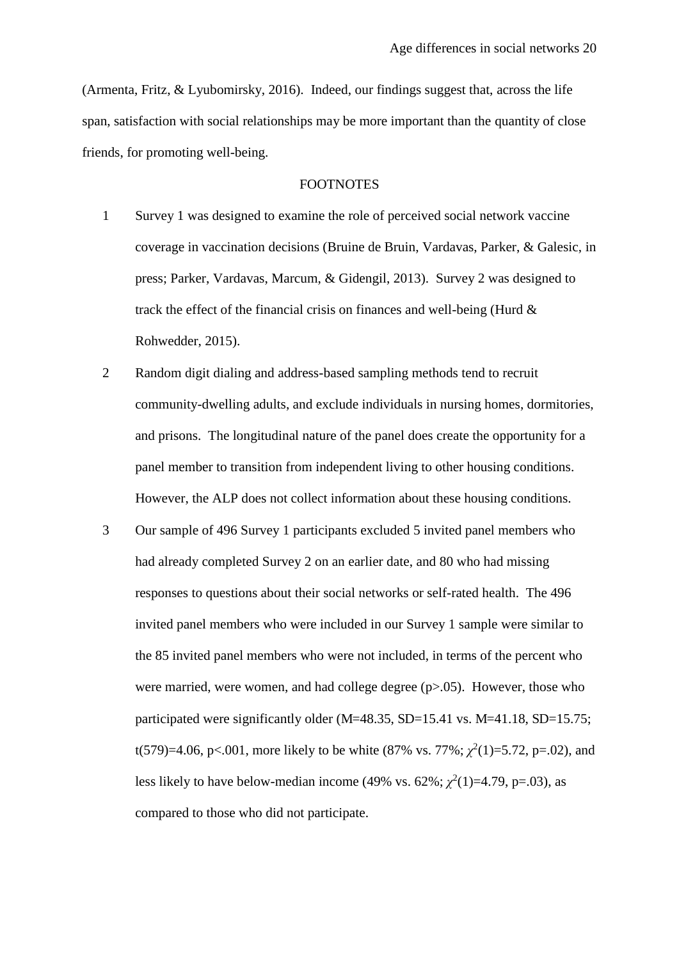(Armenta, Fritz, & Lyubomirsky, 2016). Indeed, our findings suggest that, across the life span, satisfaction with social relationships may be more important than the quantity of close friends, for promoting well-being.

# FOOTNOTES

- 1 Survey 1 was designed to examine the role of perceived social network vaccine coverage in vaccination decisions (Bruine de Bruin, Vardavas, Parker, & Galesic, in press; Parker, Vardavas, Marcum, & Gidengil, 2013). Survey 2 was designed to track the effect of the financial crisis on finances and well-being (Hurd & Rohwedder, 2015).
- 2 Random digit dialing and address-based sampling methods tend to recruit community-dwelling adults, and exclude individuals in nursing homes, dormitories, and prisons. The longitudinal nature of the panel does create the opportunity for a panel member to transition from independent living to other housing conditions. However, the ALP does not collect information about these housing conditions.
- 3 Our sample of 496 Survey 1 participants excluded 5 invited panel members who had already completed Survey 2 on an earlier date, and 80 who had missing responses to questions about their social networks or self-rated health. The 496 invited panel members who were included in our Survey 1 sample were similar to the 85 invited panel members who were not included, in terms of the percent who were married, were women, and had college degree  $(p>0.05)$ . However, those who participated were significantly older  $(M=48.35, SD=15.41$  vs.  $M=41.18, SD=15.75$ ; t(579)=4.06, p<.001, more likely to be white (87% vs. 77%;  $\chi^2(1)$ =5.72, p=.02), and less likely to have below-median income  $(49\% \text{ vs. } 62\%; \chi^2(1)=4.79, \text{ p} = .03)$ , as compared to those who did not participate.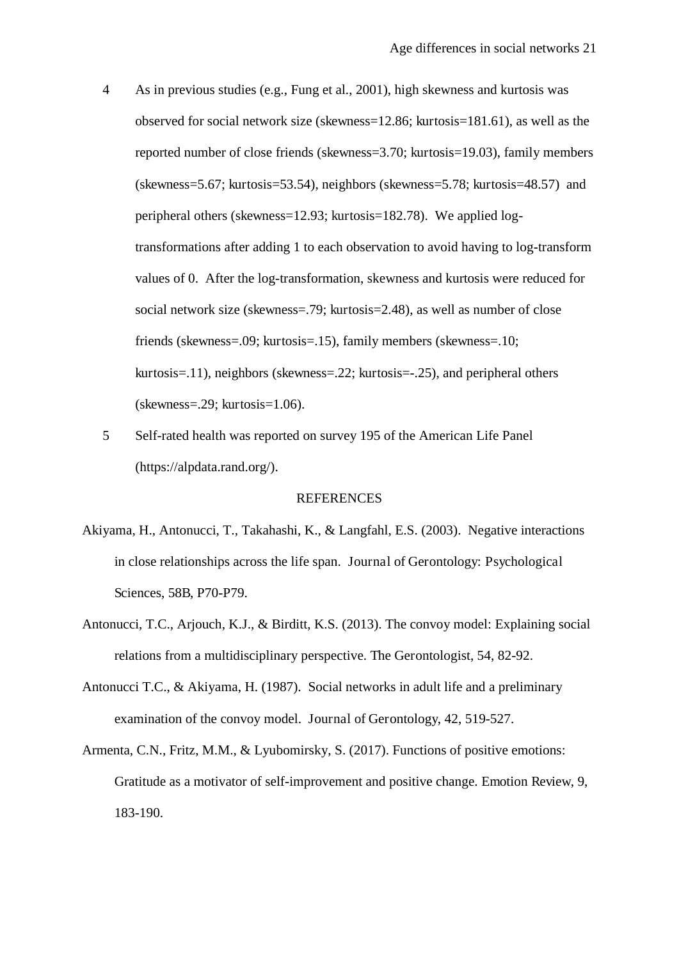- 4 As in previous studies (e.g., Fung et al., 2001), high skewness and kurtosis was observed for social network size (skewness=12.86; kurtosis=181.61), as well as the reported number of close friends (skewness=3.70; kurtosis=19.03), family members (skewness=5.67; kurtosis=53.54), neighbors (skewness=5.78; kurtosis=48.57) and peripheral others (skewness=12.93; kurtosis=182.78). We applied logtransformations after adding 1 to each observation to avoid having to log-transform values of 0. After the log-transformation, skewness and kurtosis were reduced for social network size (skewness=.79; kurtosis=2.48), as well as number of close friends (skewness=.09; kurtosis=.15), family members (skewness=.10; kurtosis=.11), neighbors (skewness=.22; kurtosis=-.25), and peripheral others (skewness=.29; kurtosis=1.06).
- 5 Self-rated health was reported on survey 195 of the American Life Panel (https://alpdata.rand.org/).

#### **REFERENCES**

- Akiyama, H., Antonucci, T., Takahashi, K., & Langfahl, E.S. (2003). Negative interactions in close relationships across the life span. Journal of Gerontology: Psychological Sciences, 58B, P70-P79.
- Antonucci, T.C., Arjouch, K.J., & Birditt, K.S. (2013). The convoy model: Explaining social relations from a multidisciplinary perspective. The Gerontologist, 54, 82-92.
- Antonucci T.C., & Akiyama, H. (1987). Social networks in adult life and a preliminary examination of the convoy model. Journal of Gerontology, 42, 519-527.
- Armenta, C.N., Fritz, M.M., & Lyubomirsky, S. (2017). Functions of positive emotions: Gratitude as a motivator of self-improvement and positive change. Emotion Review, 9, 183-190.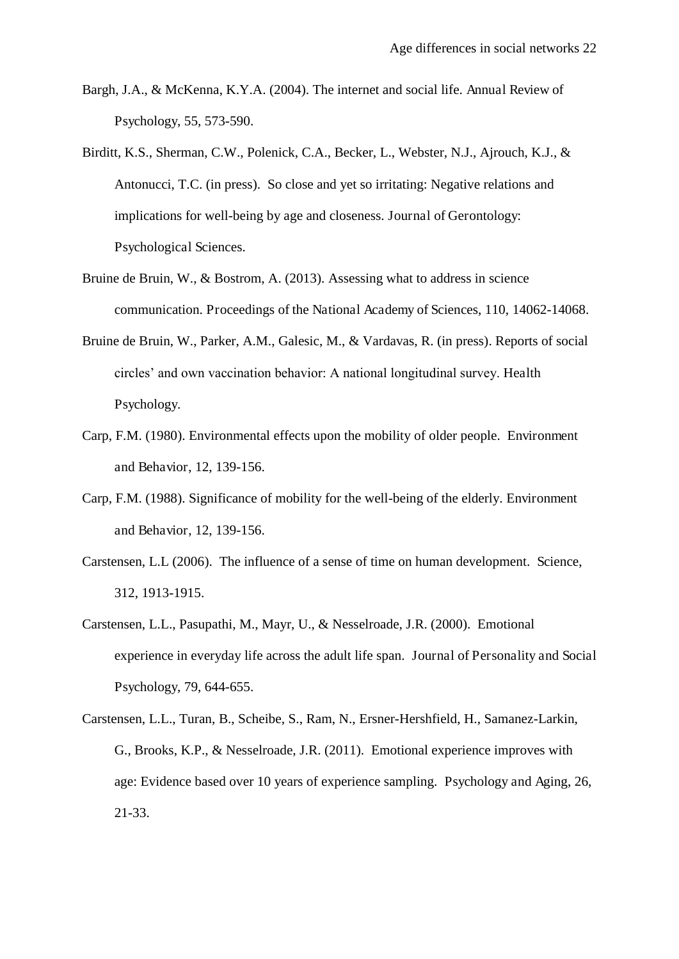- Bargh, J.A., & McKenna, K.Y.A. (2004). The internet and social life. Annual Review of Psychology, 55, 573-590.
- Birditt, K.S., Sherman, C.W., Polenick, C.A., Becker, L., Webster, N.J., Ajrouch, K.J., & Antonucci, T.C. (in press). So close and yet so irritating: Negative relations and implications for well-being by age and closeness. Journal of Gerontology: Psychological Sciences.
- Bruine de Bruin, W., & Bostrom, A. (2013). Assessing what to address in science communication. Proceedings of the National Academy of Sciences, 110, 14062-14068.
- Bruine de Bruin, W., Parker, A.M., Galesic, M., & Vardavas, R. (in press). Reports of social circles' and own vaccination behavior: A national longitudinal survey. Health Psychology.
- Carp, F.M. (1980). Environmental effects upon the mobility of older people. Environment and Behavior, 12, 139-156.
- Carp, F.M. (1988). Significance of mobility for the well-being of the elderly. Environment and Behavior, 12, 139-156.
- Carstensen, L.L (2006). The influence of a sense of time on human development. Science, 312, 1913-1915.
- Carstensen, L.L., Pasupathi, M., Mayr, U., & Nesselroade, J.R. (2000). Emotional experience in everyday life across the adult life span. Journal of Personality and Social Psychology, 79, 644-655.
- Carstensen, L.L., Turan, B., Scheibe, S., Ram, N., Ersner-Hershfield, H., Samanez-Larkin, G., Brooks, K.P., & Nesselroade, J.R. (2011). Emotional experience improves with age: Evidence based over 10 years of experience sampling. Psychology and Aging, 26, 21-33.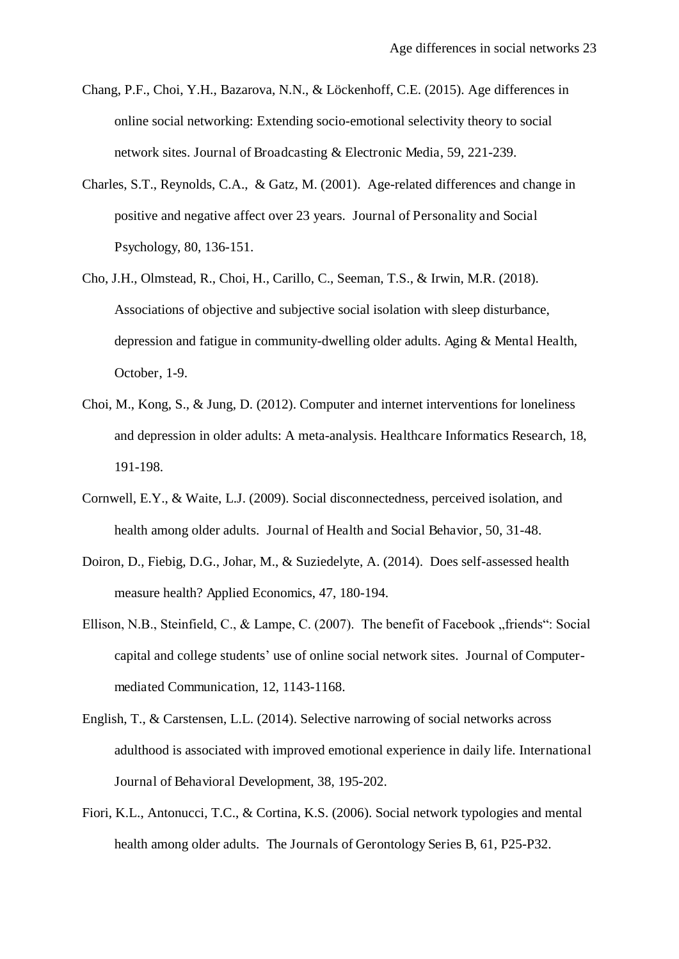- Chang, P.F., Choi, Y.H., Bazarova, N.N., & Löckenhoff, C.E. (2015). Age differences in online social networking: Extending socio-emotional selectivity theory to social network sites. Journal of Broadcasting & Electronic Media, 59, 221-239.
- Charles, S.T., Reynolds, C.A., & Gatz, M. (2001). Age-related differences and change in positive and negative affect over 23 years. Journal of Personality and Social Psychology, 80, 136-151.
- Cho, J.H., Olmstead, R., Choi, H., Carillo, C., Seeman, T.S., & Irwin, M.R. (2018). Associations of objective and subjective social isolation with sleep disturbance, depression and fatigue in community-dwelling older adults. Aging & Mental Health, October, 1-9.
- Choi, M., Kong, S., & Jung, D. (2012). Computer and internet interventions for loneliness and depression in older adults: A meta-analysis. Healthcare Informatics Research, 18, 191-198.
- Cornwell, E.Y., & Waite, L.J. (2009). Social disconnectedness, perceived isolation, and health among older adults. Journal of Health and Social Behavior, 50, 31-48.
- Doiron, D., Fiebig, D.G., Johar, M., & Suziedelyte, A. (2014). Does self-assessed health measure health? Applied Economics, 47, 180-194.
- Ellison, N.B., Steinfield, C., & Lampe, C. (2007). The benefit of Facebook "friends": Social capital and college students' use of online social network sites. Journal of Computermediated Communication, 12, 1143-1168.
- English, T., & Carstensen, L.L. (2014). Selective narrowing of social networks across adulthood is associated with improved emotional experience in daily life. International Journal of Behavioral Development, 38, 195-202.
- Fiori, K.L., Antonucci, T.C., & Cortina, K.S. (2006). Social network typologies and mental health among older adults. The Journals of Gerontology Series B, 61, P25-P32.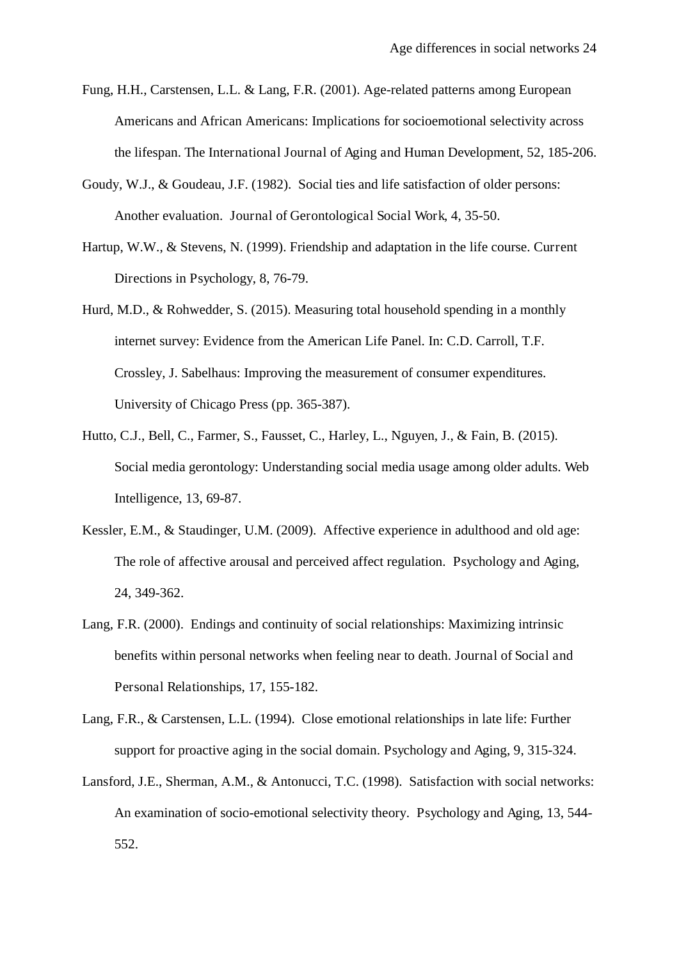- Fung, H.H., Carstensen, L.L. & Lang, F.R. (2001). Age-related patterns among European Americans and African Americans: Implications for socioemotional selectivity across the lifespan. The International Journal of Aging and Human Development, 52, 185-206.
- Goudy, W.J., & Goudeau, J.F. (1982). Social ties and life satisfaction of older persons: Another evaluation. Journal of Gerontological Social Work, 4, 35-50.
- Hartup, W.W., & Stevens, N. (1999). Friendship and adaptation in the life course. Current Directions in Psychology, 8, 76-79.
- Hurd, M.D., & Rohwedder, S. (2015). Measuring total household spending in a monthly internet survey: Evidence from the American Life Panel. In: C.D. Carroll, T.F. Crossley, J. Sabelhaus: Improving the measurement of consumer expenditures. University of Chicago Press (pp. 365-387).
- Hutto, C.J., Bell, C., Farmer, S., Fausset, C., Harley, L., Nguyen, J., & Fain, B. (2015). Social media gerontology: Understanding social media usage among older adults. Web Intelligence, 13, 69-87.
- Kessler, E.M., & Staudinger, U.M. (2009). Affective experience in adulthood and old age: The role of affective arousal and perceived affect regulation. Psychology and Aging, 24, 349-362.
- Lang, F.R. (2000). Endings and continuity of social relationships: Maximizing intrinsic benefits within personal networks when feeling near to death. Journal of Social and Personal Relationships, 17, 155-182.
- Lang, F.R., & Carstensen, L.L. (1994). Close emotional relationships in late life: Further support for proactive aging in the social domain. Psychology and Aging, 9, 315-324.
- Lansford, J.E., Sherman, A.M., & Antonucci, T.C. (1998). Satisfaction with social networks: An examination of socio-emotional selectivity theory. Psychology and Aging, 13, 544- 552.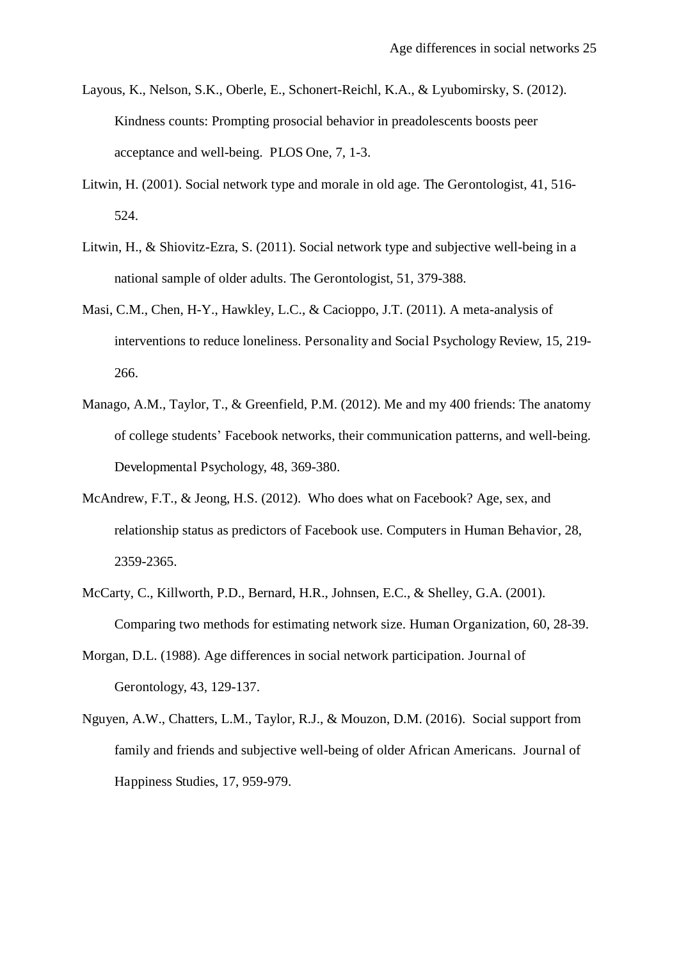- Layous, K., Nelson, S.K., Oberle, E., Schonert-Reichl, K.A., & Lyubomirsky, S. (2012). Kindness counts: Prompting prosocial behavior in preadolescents boosts peer acceptance and well-being. PLOS One, 7, 1-3.
- Litwin, H. (2001). Social network type and morale in old age. The Gerontologist, 41, 516- 524.
- Litwin, H., & Shiovitz-Ezra, S. (2011). Social network type and subjective well-being in a national sample of older adults. The Gerontologist, 51, 379-388.
- Masi, C.M., Chen, H-Y., Hawkley, L.C., & Cacioppo, J.T. (2011). A meta-analysis of interventions to reduce loneliness. Personality and Social Psychology Review, 15, 219- 266.
- Manago, A.M., Taylor, T., & Greenfield, P.M. (2012). Me and my 400 friends: The anatomy of college students' Facebook networks, their communication patterns, and well-being. Developmental Psychology, 48, 369-380.
- McAndrew, F.T., & Jeong, H.S. (2012). Who does what on Facebook? Age, sex, and relationship status as predictors of Facebook use. Computers in Human Behavior, 28, 2359-2365.
- McCarty, C., Killworth, P.D., Bernard, H.R., Johnsen, E.C., & Shelley, G.A. (2001). Comparing two methods for estimating network size. Human Organization, 60, 28-39.
- Morgan, D.L. (1988). Age differences in social network participation. Journal of Gerontology, 43, 129-137.
- Nguyen, A.W., Chatters, L.M., Taylor, R.J., & Mouzon, D.M. (2016). Social support from family and friends and subjective well-being of older African Americans. Journal of Happiness Studies, 17, 959-979.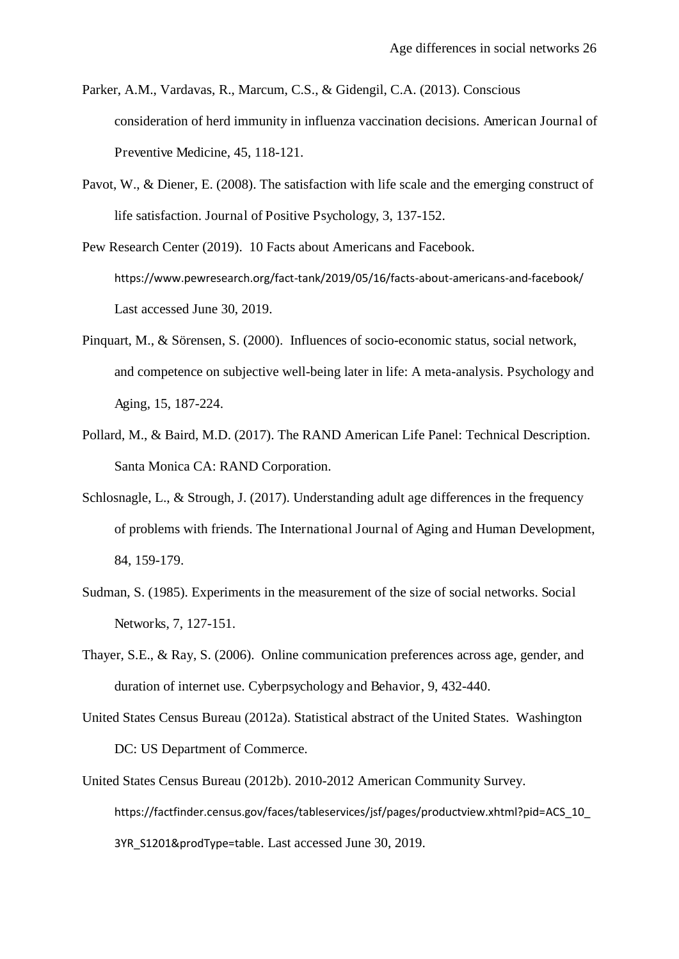- Parker, A.M., Vardavas, R., Marcum, C.S., & Gidengil, C.A. (2013). Conscious consideration of herd immunity in influenza vaccination decisions. American Journal of Preventive Medicine, 45, 118-121.
- Pavot, W., & Diener, E. (2008). The satisfaction with life scale and the emerging construct of life satisfaction. Journal of Positive Psychology, 3, 137-152.
- Pew Research Center (2019). 10 Facts about Americans and Facebook. https://www.pewresearch.org/fact-tank/2019/05/16/facts-about-americans-and-facebook/ Last accessed June 30, 2019.
- Pinquart, M., & Sörensen, S. (2000). Influences of socio-economic status, social network, and competence on subjective well-being later in life: A meta-analysis. Psychology and Aging, 15, 187-224.
- Pollard, M., & Baird, M.D. (2017). The RAND American Life Panel: Technical Description. Santa Monica CA: RAND Corporation.
- Schlosnagle, L., & Strough, J. (2017). Understanding adult age differences in the frequency of problems with friends. The International Journal of Aging and Human Development, 84, 159-179.
- Sudman, S. (1985). Experiments in the measurement of the size of social networks. Social Networks, 7, 127-151.
- Thayer, S.E., & Ray, S. (2006). Online communication preferences across age, gender, and duration of internet use. Cyberpsychology and Behavior, 9, 432-440.
- United States Census Bureau (2012a). Statistical abstract of the United States. Washington DC: US Department of Commerce.
- United States Census Bureau (2012b). 2010-2012 American Community Survey. https://factfinder.census.gov/faces/tableservices/jsf/pages/productview.xhtml?pid=ACS\_10 3YR\_S1201&prodType=table. Last accessed June 30, 2019.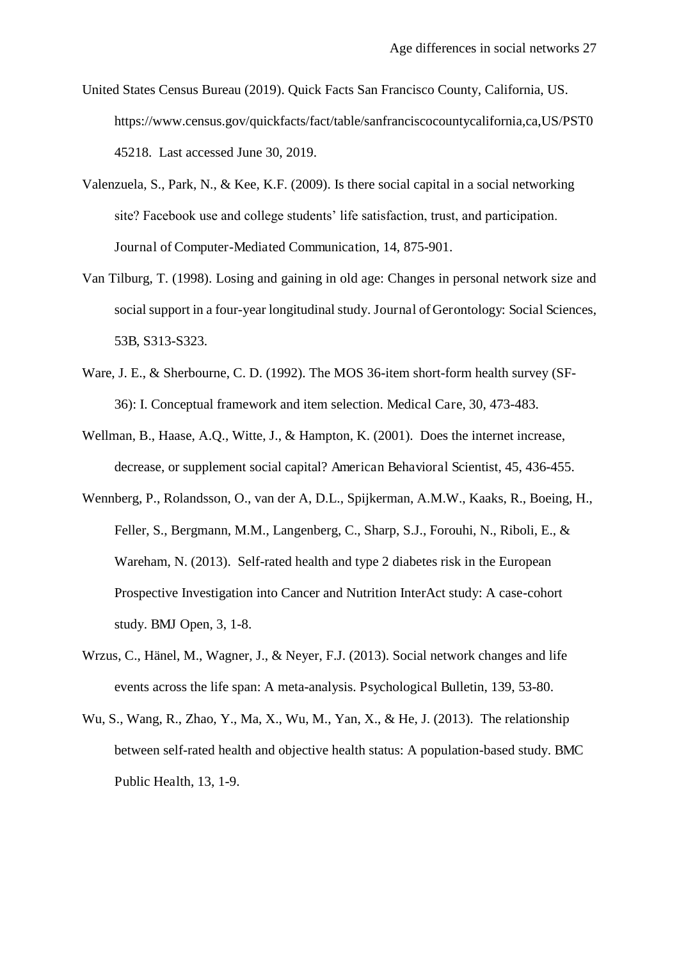- United States Census Bureau (2019). Quick Facts San Francisco County, California, US. https://www.census.gov/quickfacts/fact/table/sanfranciscocountycalifornia,ca,US/PST0 45218. Last accessed June 30, 2019.
- Valenzuela, S., Park, N., & Kee, K.F. (2009). Is there social capital in a social networking site? Facebook use and college students' life satisfaction, trust, and participation. Journal of Computer-Mediated Communication, 14, 875-901.
- Van Tilburg, T. (1998). Losing and gaining in old age: Changes in personal network size and social support in a four-year longitudinal study. Journal of Gerontology: Social Sciences, 53B, S313-S323.
- Ware, J. E., & Sherbourne, C. D. (1992). The MOS 36-item short-form health survey (SF-36): I. Conceptual framework and item selection. Medical Care, 30, 473-483.
- Wellman, B., Haase, A.Q., Witte, J., & Hampton, K. (2001). Does the internet increase, decrease, or supplement social capital? American Behavioral Scientist, 45, 436-455.
- Wennberg, P., Rolandsson, O., van der A, D.L., Spijkerman, A.M.W., Kaaks, R., Boeing, H., Feller, S., Bergmann, M.M., Langenberg, C., Sharp, S.J., Forouhi, N., Riboli, E., & Wareham, N. (2013). Self-rated health and type 2 diabetes risk in the European Prospective Investigation into Cancer and Nutrition InterAct study: A case-cohort study. BMJ Open, 3, 1-8.
- Wrzus, C., Hänel, M., Wagner, J., & Neyer, F.J. (2013). Social network changes and life events across the life span: A meta-analysis. Psychological Bulletin, 139, 53-80.
- Wu, S., Wang, R., Zhao, Y., Ma, X., Wu, M., Yan, X., & He, J. (2013). The relationship between self-rated health and objective health status: A population-based study. BMC Public Health, 13, 1-9.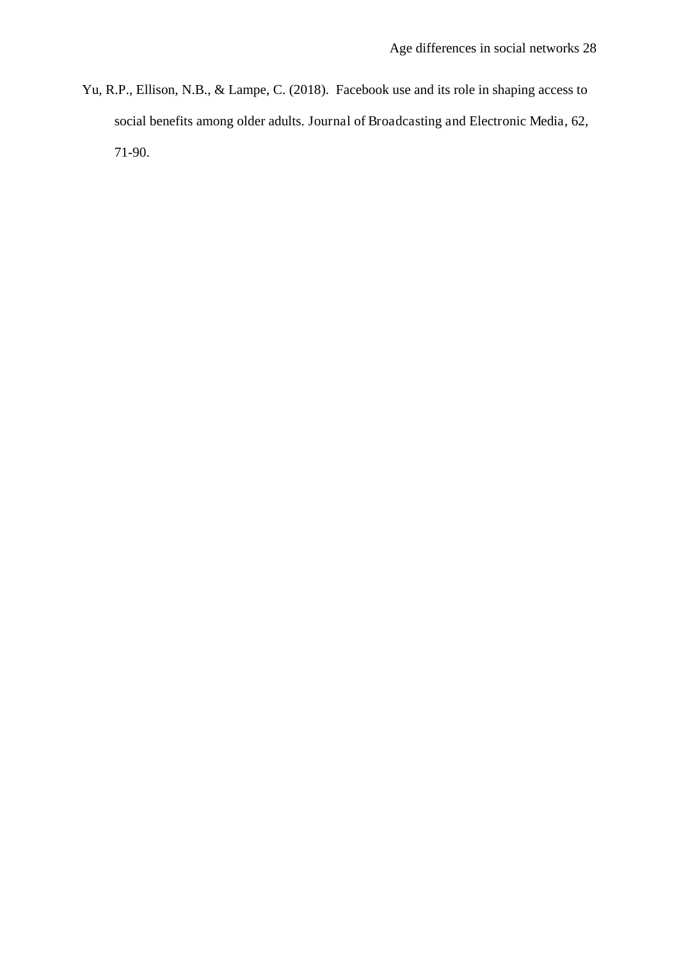Yu, R.P., Ellison, N.B., & Lampe, C. (2018). Facebook use and its role in shaping access to social benefits among older adults. Journal of Broadcasting and Electronic Media, 62, 71-90.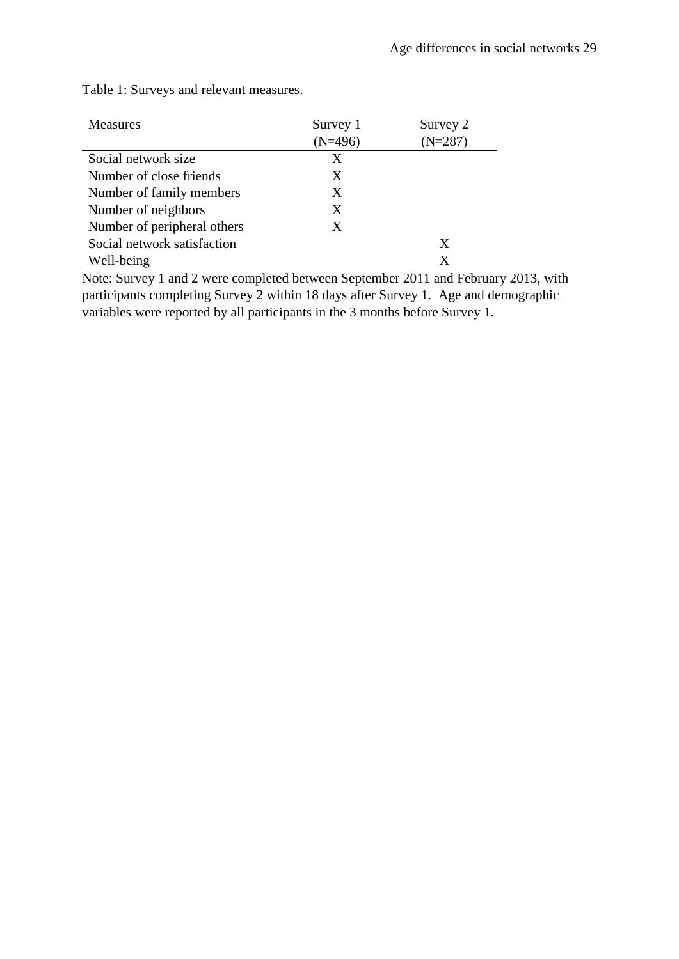| <b>Measures</b>             | Survey 1<br>(N=496) | Survey 2<br>$(N=287)$ |
|-----------------------------|---------------------|-----------------------|
| Social network size         | X                   |                       |
| Number of close friends     | X                   |                       |
| Number of family members    | X                   |                       |
| Number of neighbors         | X                   |                       |
| Number of peripheral others | X                   |                       |
| Social network satisfaction |                     | X                     |
| Well-being                  |                     | X                     |

Table 1: Surveys and relevant measures.

Note: Survey 1 and 2 were completed between September 2011 and February 2013, with participants completing Survey 2 within 18 days after Survey 1. Age and demographic variables were reported by all participants in the 3 months before Survey 1.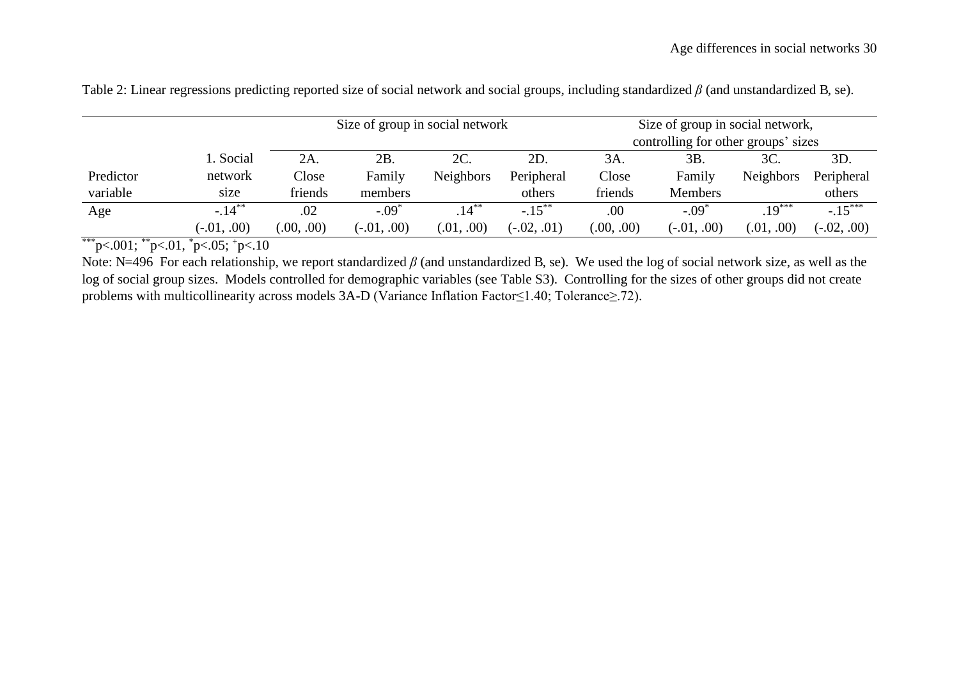|                       |               |              | Size of group in social network |                  |               | Size of group in social network, |                                     |                  |               |  |  |
|-----------------------|---------------|--------------|---------------------------------|------------------|---------------|----------------------------------|-------------------------------------|------------------|---------------|--|--|
|                       |               |              |                                 |                  |               |                                  | controlling for other groups' sizes |                  |               |  |  |
|                       | 1. Social     | 2A.          | 2B.                             | 2C.              | 2D.           | 3A.                              | 3B.                                 | 3C.              | 3D.           |  |  |
| Predictor             | network       | Close        | Family                          | <b>Neighbors</b> | Peripheral    | Close                            | Family                              | <b>Neighbors</b> | Peripheral    |  |  |
| variable              | size          | friends      | members                         |                  | others        | friends                          | <b>Members</b>                      |                  | others        |  |  |
| Age                   | $-.14***$     | .02          | $-.09*$                         | $.14***$         | $-.15***$     | .00                              | $-.09*$                             | $19***$          | $-15***$      |  |  |
| standards.<br>als als | $(-.01, .00)$ | (0.00, 0.00) | $(-.01, .00)$                   | (0.01, 0.00)     | $(-.02, .01)$ | (0.00, 0.00)                     | $(-.01, .00)$                       | (0.01, 0.00)     | $(-.02, .00)$ |  |  |

Table 2: Linear regressions predicting reported size of social network and social groups, including standardized  $\beta$  (and unstandardized B, se).

\*\*\*p<.001; \*\*p<.01, \*p<.05; +p<.10

Note: N=496 For each relationship, we report standardized  $\beta$  (and unstandardized B, se). We used the log of social network size, as well as the log of social group sizes. Models controlled for demographic variables (see Table S3). Controlling for the sizes of other groups did not create problems with multicollinearity across models 3A-D (Variance Inflation Factor≤1.40; Tolerance≥.72).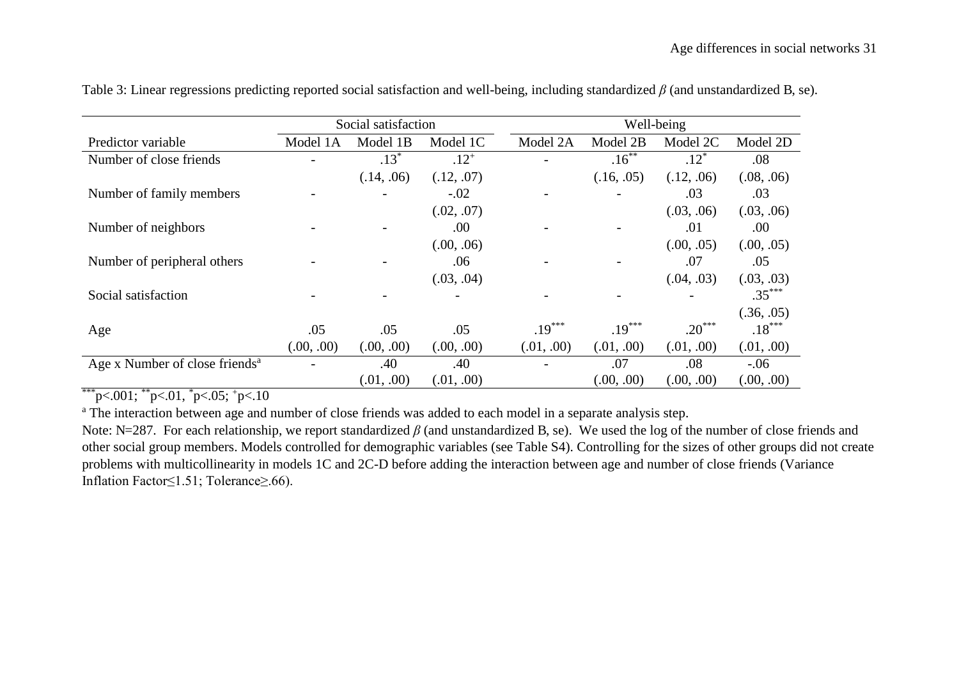|                                            |            | Social satisfaction      |            | Well-being |            |            |            |  |  |  |
|--------------------------------------------|------------|--------------------------|------------|------------|------------|------------|------------|--|--|--|
| Predictor variable                         | Model 1A   | Model 1B                 | Model 1C   | Model 2A   | Model 2B   | Model 2C   | Model 2D   |  |  |  |
| Number of close friends                    |            | $.13*$                   | $.12^{+}$  |            | $.16***$   | $.12*$     | .08        |  |  |  |
|                                            |            | (.14, .06)               | (.12, .07) |            | (.16, .05) | (.12, .06) | (.08, .06) |  |  |  |
| Number of family members                   |            | $\overline{\phantom{a}}$ | $-.02$     |            |            | .03        | .03        |  |  |  |
|                                            |            |                          | (.02, .07) |            |            | (.03, .06) | (.03, .06) |  |  |  |
| Number of neighbors                        |            |                          | .00        |            |            | .01        | .00.       |  |  |  |
|                                            |            |                          | (.00, .06) |            |            | (.00, .05) | (.00, .05) |  |  |  |
| Number of peripheral others                |            | $\overline{\phantom{a}}$ | .06        |            |            | .07        | .05        |  |  |  |
|                                            |            |                          | (.03, .04) |            |            | (.04, .03) | (.03, .03) |  |  |  |
| Social satisfaction                        |            |                          |            |            |            |            | $.35***$   |  |  |  |
|                                            |            |                          |            |            |            |            | (.36, .05) |  |  |  |
| Age                                        | .05        | .05                      | .05        | $.19***$   | $.19***$   | $.20***$   | $.18***$   |  |  |  |
|                                            | (.00, .00) | (.00, .00)               | (.00, .00) | (.01, .00) | (.01, .00) | (.01, .00) | (.01, .00) |  |  |  |
| Age x Number of close friends <sup>a</sup> |            | .40                      | .40        |            | .07        | .08        | $-0.06$    |  |  |  |
|                                            |            | (.01, .00)               | (.01, .00) |            | (.00, .00) | (.00, .00) | (.00, .00) |  |  |  |

Table 3: Linear regressions predicting reported social satisfaction and well-being, including standardized  $\beta$  (and unstandardized B, se).

\*\*\*p<.001;  $*$ \*p<.01,  $*$ p<.05;  $*$ p<.10

<sup>a</sup> The interaction between age and number of close friends was added to each model in a separate analysis step.

Note: N=287. For each relationship, we report standardized  $\beta$  (and unstandardized B, se). We used the log of the number of close friends and other social group members. Models controlled for demographic variables (see Table S4). Controlling for the sizes of other groups did not create problems with multicollinearity in models 1C and 2C-D before adding the interaction between age and number of close friends (Variance Inflation Factor≤1.51; Tolerance≥.66).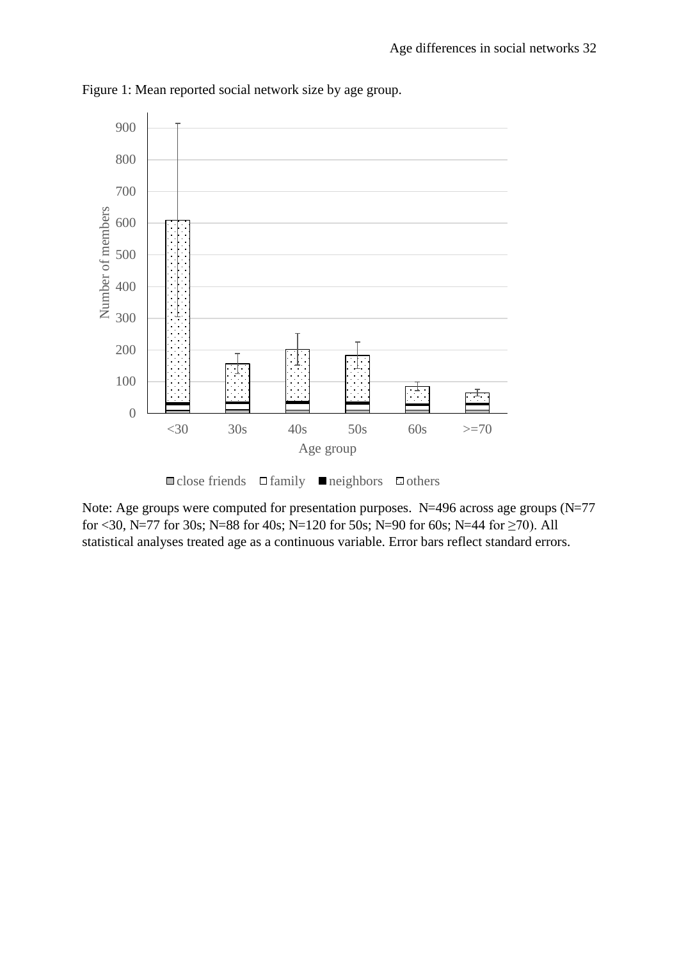

Figure 1: Mean reported social network size by age group.



Note: Age groups were computed for presentation purposes. N=496 across age groups (N=77 for <30, N=77 for 30s; N=88 for 40s; N=120 for 50s; N=90 for 60s; N=44 for  $\geq$ 70). All statistical analyses treated age as a continuous variable. Error bars reflect standard errors.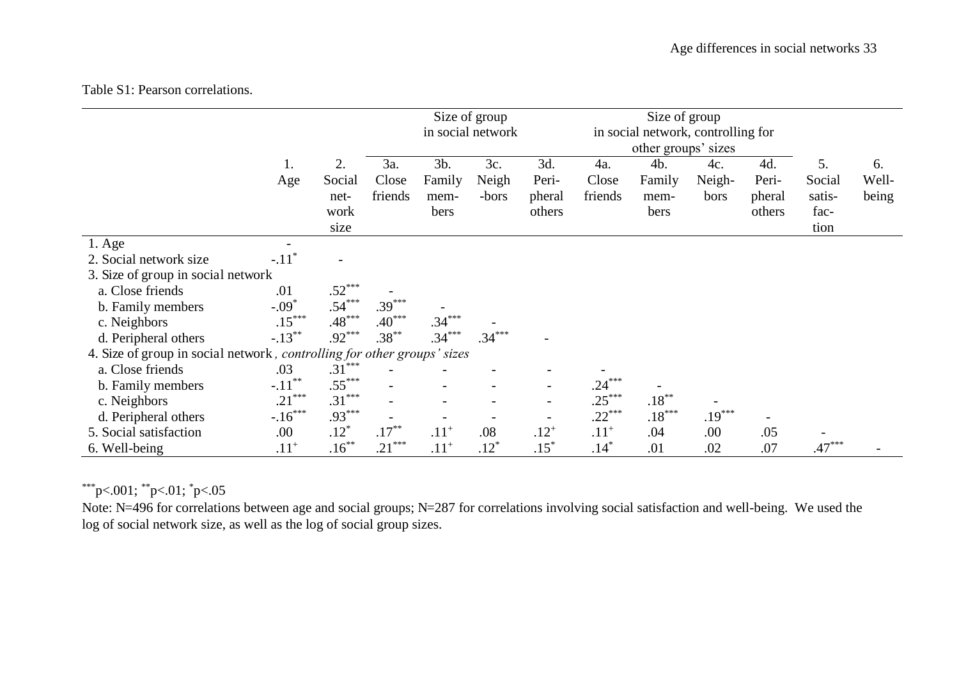# Table S1: Pearson correlations.

|                                                                         |                     |                                      | Size of group<br>in social network |                               |                       | Size of group<br>in social network, controlling for<br>other groups' sizes |                         |                               |                       |                                  |                                        |                      |
|-------------------------------------------------------------------------|---------------------|--------------------------------------|------------------------------------|-------------------------------|-----------------------|----------------------------------------------------------------------------|-------------------------|-------------------------------|-----------------------|----------------------------------|----------------------------------------|----------------------|
|                                                                         | 1.<br>Age           | 2.<br>Social<br>net-<br>work<br>size | 3a.<br>Close<br>friends            | 3b.<br>Family<br>mem-<br>bers | 3c.<br>Neigh<br>-bors | 3d.<br>Peri-<br>pheral<br>others                                           | 4a.<br>Close<br>friends | 4b.<br>Family<br>mem-<br>bers | 4c.<br>Neigh-<br>bors | 4d.<br>Peri-<br>pheral<br>others | 5.<br>Social<br>satis-<br>fac-<br>tion | 6.<br>Well-<br>being |
| $1. \text{Age}$                                                         |                     |                                      |                                    |                               |                       |                                                                            |                         |                               |                       |                                  |                                        |                      |
| 2. Social network size                                                  | $-.11$ <sup>'</sup> |                                      |                                    |                               |                       |                                                                            |                         |                               |                       |                                  |                                        |                      |
| 3. Size of group in social network                                      |                     |                                      |                                    |                               |                       |                                                                            |                         |                               |                       |                                  |                                        |                      |
| a. Close friends                                                        | .01                 | $.52***$                             |                                    |                               |                       |                                                                            |                         |                               |                       |                                  |                                        |                      |
| b. Family members                                                       | $-.09*$             | $.54***$                             | $.39***$                           |                               |                       |                                                                            |                         |                               |                       |                                  |                                        |                      |
| c. Neighbors                                                            | $.15***$            | $.48***$                             | $.40***$                           | $.34***$                      |                       |                                                                            |                         |                               |                       |                                  |                                        |                      |
| d. Peripheral others                                                    | $-.13***$           | $.92***$                             | $.38***$                           | $.34***$                      | $.34***$              |                                                                            |                         |                               |                       |                                  |                                        |                      |
| 4. Size of group in social network, controlling for other groups' sizes |                     |                                      |                                    |                               |                       |                                                                            |                         |                               |                       |                                  |                                        |                      |
| a. Close friends                                                        | .03                 | $.31***$                             |                                    |                               |                       |                                                                            |                         |                               |                       |                                  |                                        |                      |
| b. Family members                                                       | $-.11***$           | $.55***$                             |                                    |                               |                       |                                                                            | $.24***$                |                               |                       |                                  |                                        |                      |
| c. Neighbors                                                            | $.21***$            | $.31***$                             |                                    |                               |                       | $\overline{\phantom{a}}$                                                   | $.25***$                | $.18^{\ast\ast}$              |                       |                                  |                                        |                      |
| d. Peripheral others                                                    | $-.16***$           | $.93***$                             |                                    |                               |                       | $\qquad \qquad$                                                            | $.22***$                | $.18***$                      | $.19***$              |                                  |                                        |                      |
| 5. Social satisfaction                                                  | .00                 | $.12*$                               | $.17***$                           | $.11^{+}$                     | .08                   | $.12^{+}$                                                                  | $.11^{+}$               | .04                           | .00                   | .05                              |                                        |                      |
| 6. Well-being                                                           | $.11^{+}$           | $.16***$                             | $.21***$                           | $.11^{+}$                     | $.12*$                | $.15*$                                                                     | $.14*$                  | .01                           | .02                   | .07                              | $.47***$                               |                      |

# \*\*\*p<.001; \*\*p<.01; \*p<.05

Note: N=496 for correlations between age and social groups; N=287 for correlations involving social satisfaction and well-being. We used the log of social network size, as well as the log of social group sizes.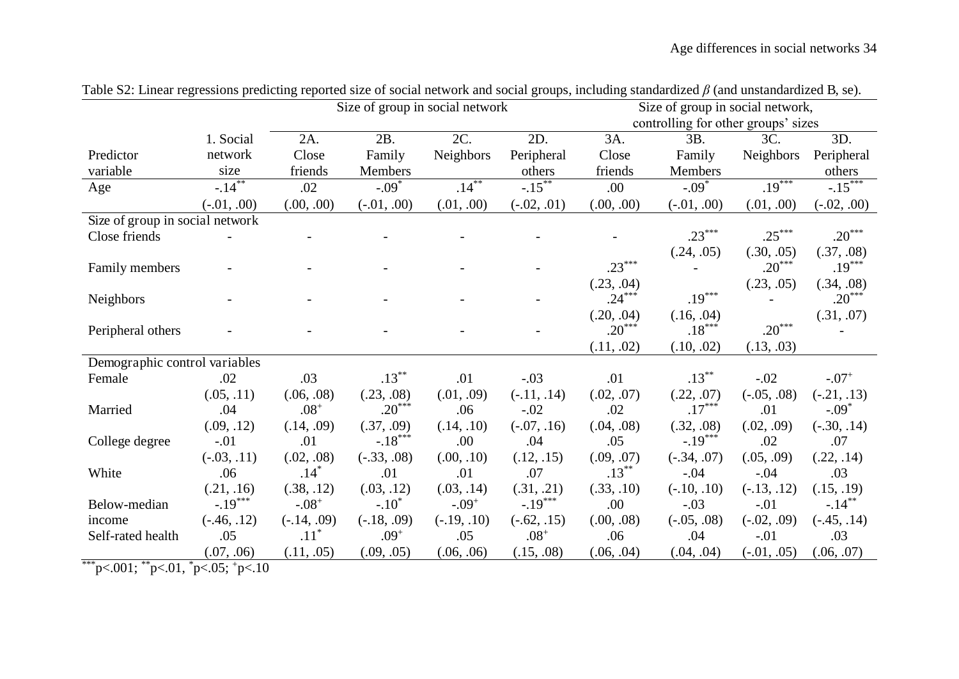|                                 |                                                    |               |                                   |                 | Size of group in social network,                                 |                                              |                                                                       |                                                                                     |  |  |
|---------------------------------|----------------------------------------------------|---------------|-----------------------------------|-----------------|------------------------------------------------------------------|----------------------------------------------|-----------------------------------------------------------------------|-------------------------------------------------------------------------------------|--|--|
|                                 |                                                    |               |                                   |                 |                                                                  |                                              |                                                                       |                                                                                     |  |  |
|                                 | 2A.                                                | 2B.           |                                   |                 | 3A.                                                              | 3B.                                          | 3C.                                                                   | 3D.                                                                                 |  |  |
| network                         | Close                                              | Family        | Neighbors                         | Peripheral      | Close                                                            | Family                                       | Neighbors                                                             | Peripheral                                                                          |  |  |
| size                            | friends                                            | Members       |                                   | others          | friends                                                          | Members                                      |                                                                       | others                                                                              |  |  |
|                                 | .02                                                | $-.09*$       |                                   |                 | .00.                                                             | $-.09*$                                      |                                                                       | $-15***$                                                                            |  |  |
| $(-.01, .00)$                   | (.00, .00)                                         | $(-.01, .00)$ | (.01, .00)                        | $(-.02, .01)$   | (.00, .00)                                                       | $(-.01, .00)$                                | (.01, .00)                                                            | $(-.02, .00)$                                                                       |  |  |
| Size of group in social network |                                                    |               |                                   |                 |                                                                  |                                              |                                                                       |                                                                                     |  |  |
|                                 |                                                    |               |                                   |                 |                                                                  |                                              |                                                                       | $.20***$                                                                            |  |  |
|                                 |                                                    |               |                                   |                 |                                                                  | (.24, .05)                                   | (.30, .05)                                                            | (.37, .08)                                                                          |  |  |
|                                 |                                                    |               |                                   |                 |                                                                  |                                              |                                                                       | $.19***$                                                                            |  |  |
|                                 |                                                    |               |                                   |                 | (.23, .04)                                                       |                                              | (.23, .05)                                                            | (.34, .08)                                                                          |  |  |
|                                 |                                                    |               |                                   |                 |                                                                  |                                              |                                                                       | $.20***$                                                                            |  |  |
|                                 |                                                    |               |                                   |                 | (.20, .04)                                                       | (.16, .04)                                   |                                                                       | (.31, .07)                                                                          |  |  |
|                                 |                                                    |               |                                   |                 |                                                                  |                                              |                                                                       |                                                                                     |  |  |
|                                 |                                                    |               |                                   |                 | (.11, .02)                                                       | (.10, .02)                                   | (.13, .03)                                                            |                                                                                     |  |  |
| Demographic control variables   |                                                    |               |                                   |                 |                                                                  |                                              |                                                                       |                                                                                     |  |  |
| .02                             | .03                                                |               | .01                               | $-.03$          | .01                                                              |                                              | $-.02$                                                                | $-.07+$                                                                             |  |  |
| (.05, .11)                      | (.06, .08)                                         | (.23, .08)    | (.01, .09)                        | $(-.11, .14)$   | (.02, .07)                                                       | (.22, .07)                                   | $(-.05, .08)$                                                         | $(-.21, .13)$                                                                       |  |  |
| .04                             | $.08^{+}$                                          |               | .06                               | $-.02$          | .02                                                              |                                              | .01                                                                   | $-.09*$                                                                             |  |  |
| (.09, .12)                      | (.14, .09)                                         | (.37, .09)    | (.14, .10)                        | $(-.07, .16)$   | (.04, .08)                                                       | (.32, .08)                                   | (.02, .09)                                                            | $(-.30, .14)$                                                                       |  |  |
| $-.01$                          | .01                                                |               | .00                               | .04             | .05                                                              |                                              | .02                                                                   | .07                                                                                 |  |  |
| $(-.03, .11)$                   | (.02, .08)                                         | $(-.33, .08)$ | (.00, .10)                        | (.12, .15)      | (.09, .07)                                                       | $(-.34, .07)$                                | (.05, .09)                                                            | (.22, .14)                                                                          |  |  |
| .06                             |                                                    | .01           | .01                               | .07             |                                                                  | $-.04$                                       | $-.04$                                                                | .03                                                                                 |  |  |
| (.21, .16)                      | (.38, .12)                                         | (.03, .12)    | (.03, .14)                        | (.31, .21)      | (.33, .10)                                                       | $(-.10, .10)$                                | $(-.13, .12)$                                                         | (.15, .19)                                                                          |  |  |
|                                 | $-.08+$                                            | $-.10*$       | $-.09+$                           |                 | .00                                                              | $-.03$                                       | $-.01$                                                                | $-.14***$                                                                           |  |  |
| $(-.46, .12)$                   | $(-.14, .09)$                                      | $(-.18, .09)$ | $(-.19, .10)$                     | $(-.62, .15)$   | (.00, .08)                                                       | $(-.05, .08)$                                | $(-.02, .09)$                                                         | $(-.45, .14)$                                                                       |  |  |
| .05                             | $.11^*$                                            | $.09^{+}$     | .05                               | $.08^+$         | .06                                                              | .04                                          | $-.01$                                                                | .03                                                                                 |  |  |
| (.07, .06)                      | (.11, .05)                                         | (.09, .05)    | (.06, .06)                        | (.15, .08)      | (.06, .04)                                                       | (.04, .04)                                   | $(-.01, .05)$                                                         | (.06, .07)                                                                          |  |  |
| $1001.$ $**$ $01.$ $*$          | 1. Social<br>$-.14***$<br>$-.19***$<br>$205 + 210$ | $.14*$        | $.13***$<br>$.20***$<br>$-.18***$ | 2C.<br>$.14***$ | Size of group in social network<br>2D.<br>$-.15***$<br>$-.19***$ | $.23***$<br>$.24***$<br>$.20***$<br>$.13***$ | $.23***$<br>$.19***$<br>$.18***$<br>$.13***$<br>$.17***$<br>$-.19***$ | controlling for other groups' sizes<br>$.19***$<br>$.25***$<br>$.20***$<br>$.20***$ |  |  |

Table S2: Linear regressions predicting reported size of social network and social groups, including standardized  $\beta$  (and unstandardized B, se).

\*\*\*p<.001;  $*p<.01$ ,  $*p<.05$ ;  $+p<.10$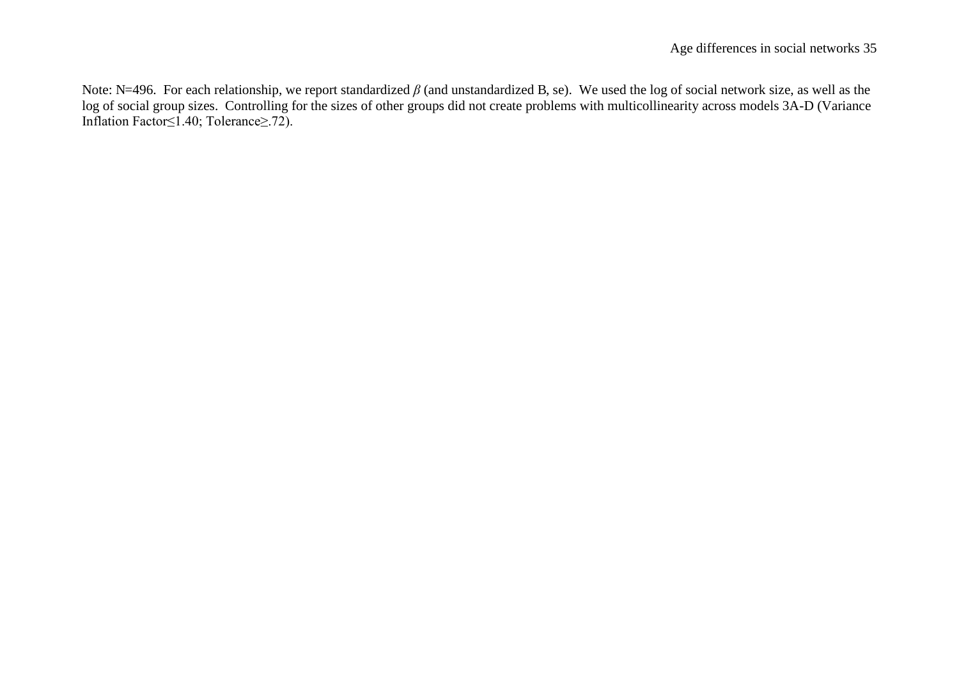Note: N=496. For each relationship, we report standardized  $\beta$  (and unstandardized B, se). We used the log of social network size, as well as the log of social group sizes. Controlling for the sizes of other groups did not create problems with multicollinearity across models 3A-D (Variance Inflation Factor≤1.40; Tolerance≥.72).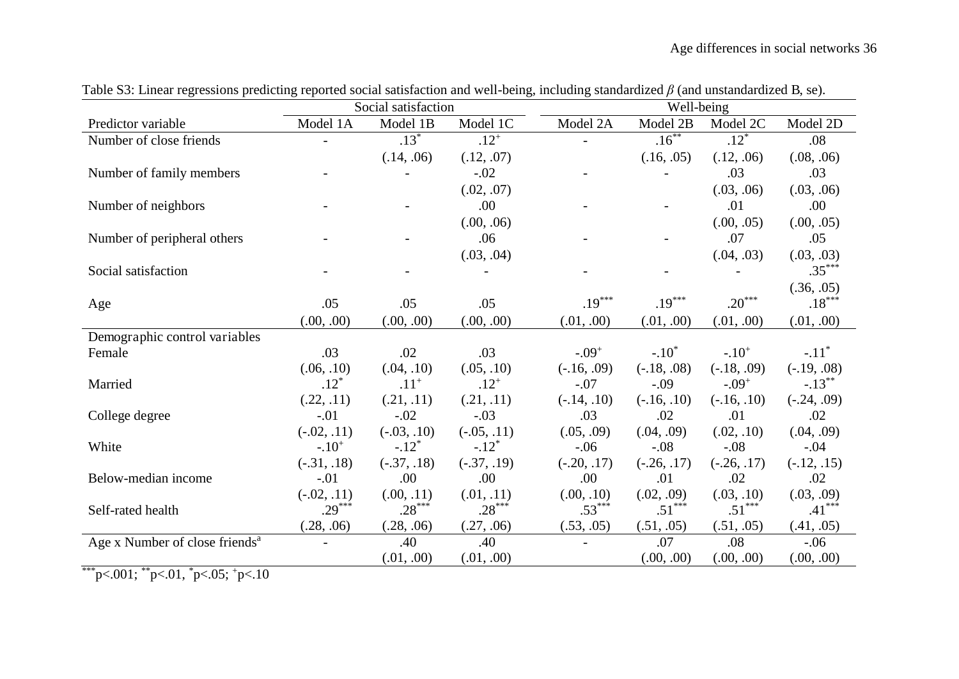|                                                             |               | Social satisfaction |                     | Well-being    |               |               |                     |  |  |  |
|-------------------------------------------------------------|---------------|---------------------|---------------------|---------------|---------------|---------------|---------------------|--|--|--|
| Predictor variable                                          | Model 1A      | Model 1B            | Model 1C            | Model 2A      | Model 2B      | Model 2C      | Model 2D            |  |  |  |
| Number of close friends                                     |               | $.13*$              | $.12^{+}$           |               | $.16***$      | $.12*$        | .08                 |  |  |  |
|                                                             |               | (.14, .06)          | (.12, .07)          |               | (.16, .05)    | (.12, .06)    | (.08, .06)          |  |  |  |
| Number of family members                                    |               |                     | $-.02$              |               |               | .03           | .03                 |  |  |  |
|                                                             |               |                     | (.02, .07)          |               |               | (.03, .06)    | (.03, .06)          |  |  |  |
| Number of neighbors                                         |               |                     | .00                 |               |               | .01           | .00                 |  |  |  |
|                                                             |               |                     | (.00, .06)          |               |               | (.00, .05)    | (.00, .05)          |  |  |  |
| Number of peripheral others                                 |               |                     | .06                 |               |               | .07           | .05                 |  |  |  |
|                                                             |               |                     | (.03, .04)          |               |               | (.04, .03)    | (.03, .03)          |  |  |  |
| Social satisfaction                                         |               |                     |                     |               |               |               | $.35***$            |  |  |  |
|                                                             |               |                     |                     |               |               |               | (.36, .05)          |  |  |  |
| Age                                                         | .05           | .05                 | .05                 | $.19***$      | $.19***$      | $20***$       | $.18***$            |  |  |  |
|                                                             | (.00, .00)    | (.00, .00)          | (.00, .00)          | (.01, .00)    | (.01, .00)    | (.01, .00)    | (.01, .00)          |  |  |  |
| Demographic control variables                               |               |                     |                     |               |               |               |                     |  |  |  |
| Female                                                      | .03           | .02                 | .03                 | $-.09+$       | $-.10^*$      | $-.10+$       | $-.11$ <sup>*</sup> |  |  |  |
|                                                             | (.06, .10)    | (.04, .10)          | (.05, .10)          | $(-.16, .09)$ | $(-.18, .08)$ | $(-.18, .09)$ | $(-.19, .08)$       |  |  |  |
| Married                                                     | $.12*$        | $.11^{+}$           | $.12^{+}$           | $-.07$        | $-.09$        | $-.09+$       | $-.13***$           |  |  |  |
|                                                             | (.22, .11)    | (.21, .11)          | (.21, .11)          | $(-.14, .10)$ | $(-.16, .10)$ | $(-.16, .10)$ | $(-.24, .09)$       |  |  |  |
| College degree                                              | $-.01$        | $-.02$              | $-.03$              | .03           | .02           | .01           | .02                 |  |  |  |
|                                                             | $(-.02, .11)$ | $(-.03, .10)$       | $(-.05, .11)$       | (.05, .09)    | (.04, .09)    | (.02, .10)    | (.04, .09)          |  |  |  |
| White                                                       | $-.10+$       | $-.12$ <sup>*</sup> | $-.12$ <sup>*</sup> | $-.06$        | $-.08$        | $-.08$        | $-.04$              |  |  |  |
|                                                             | $(-.31, .18)$ | $(-.37, .18)$       | $(-.37, .19)$       | $(-.20, .17)$ | $(-.26, .17)$ | $(-.26, .17)$ | $(-.12, .15)$       |  |  |  |
| Below-median income                                         | $-.01$        | .00                 | .00                 | .00.          | .01           | .02           | .02                 |  |  |  |
|                                                             | $(-.02, .11)$ | (.00, .11)          | (.01, .11)          | (.00, .10)    | (.02, .09)    | (.03, .10)    | (.03, .09)          |  |  |  |
| Self-rated health                                           | $.29***$      | $.28***$            | $.28***$            | $.53***$      | $.51***$      | $.51***$      | $.41***$            |  |  |  |
|                                                             | (.28, .06)    | (.28, .06)          | (.27, .06)          | (.53, .05)    | (.51, .05)    | (.51, .05)    | (.41, .05)          |  |  |  |
| Age x Number of close friends <sup>a</sup>                  |               | .40                 | .40                 |               | .07           | .08           | $-.06$              |  |  |  |
| $0.01$ **<br>$0.1 *$<br>$\bigcap_{i=1}^n$<br>$\overline{A}$ |               | (.01, .00)          | (.01, .00)          |               | (.00, .00)    | (.00, .00)    | (.00, .00)          |  |  |  |

Table S3: Linear regressions predicting reported social satisfaction and well-being, including standardized  $\beta$  (and unstandardized B, se).

\*\*\*p<.001;  $*p<.01$ ,  $*p<.05$ ;  $+p<.10$